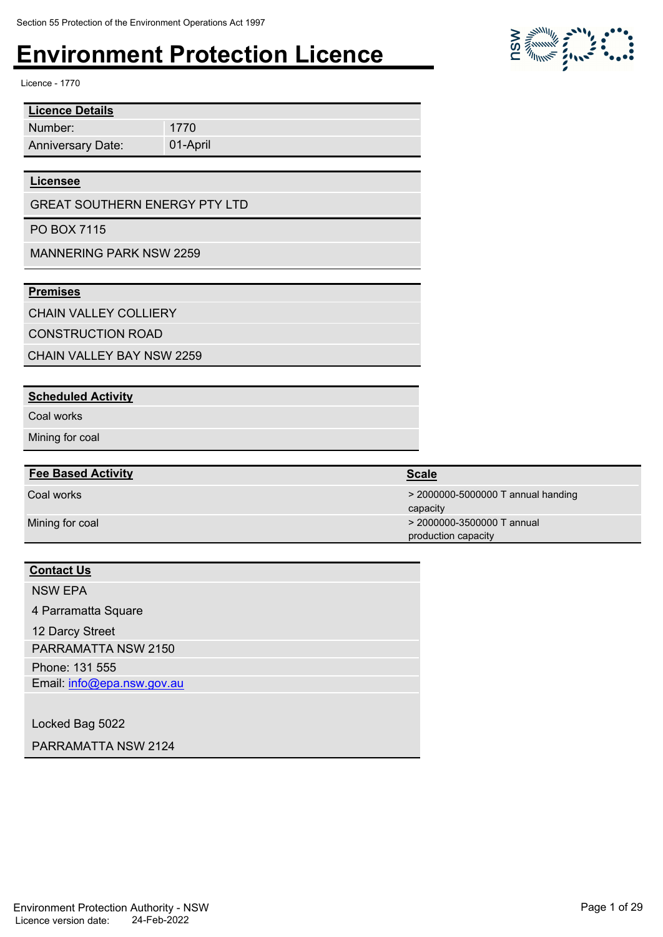Licence - 1770

| <b>Licence Details</b>   |          |
|--------------------------|----------|
| Number:                  | 1770     |
| <b>Anniversary Date:</b> | 01-April |

#### **Licensee**

GREAT SOUTHERN ENERGY PTY LTD

PO BOX 7115

MANNERING PARK NSW 2259

#### **Premises**

CHAIN VALLEY COLLIERY

CONSTRUCTION ROAD

CHAIN VALLEY BAY NSW 2259

#### **Scheduled Activity**

Coal works

Mining for coal

#### **Fee Based Activity Scale Scale Scale Scale**

#### **Contact Us**

NSW EPA

4 Parramatta Square

12 Darcy Street

PARRAMATTA NSW 2150

Phone: 131 555 Email: info@epa.nsw.gov.au

Locked Bag 5022

PARRAMATTA NSW 2124

Coal works > 2000000-5000000 T annual handing capacity Mining for coal **2000000-3500000 T** annual production capacity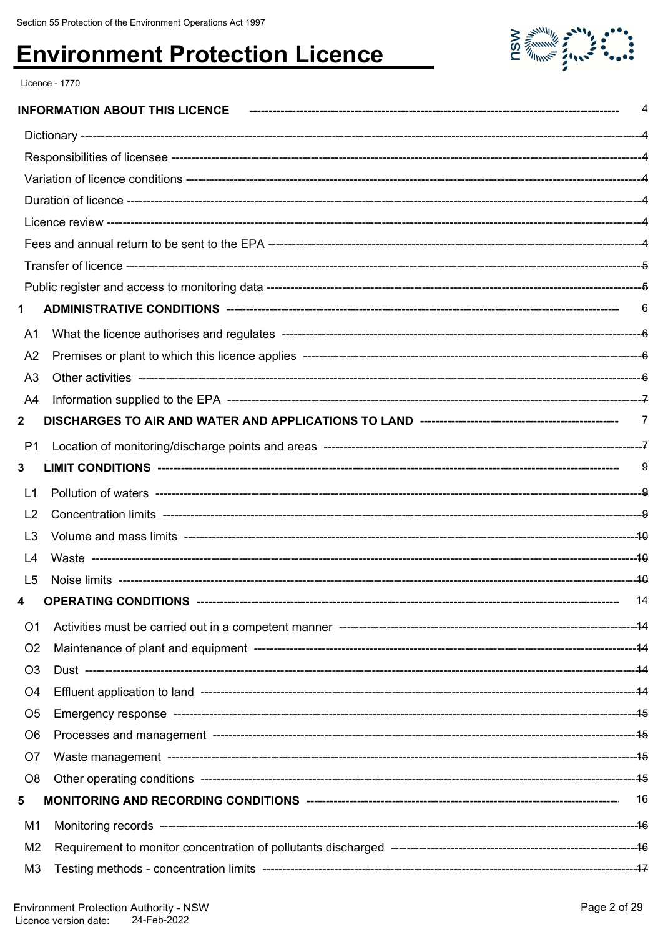

Licence - 1770

| 1              |                             |    |
|----------------|-----------------------------|----|
| A <sub>1</sub> |                             |    |
| A <sub>2</sub> |                             |    |
| A <sub>3</sub> |                             |    |
| A4             |                             |    |
| $\mathbf 2$    |                             |    |
| P <sub>1</sub> |                             |    |
| 3              |                             | 9  |
| L1             |                             |    |
| L2             |                             |    |
| L3             |                             |    |
| L4             |                             |    |
| L <sub>5</sub> |                             |    |
|                | <b>OPERATING CONDITIONS</b> | 14 |
| O <sub>1</sub> |                             |    |
| O <sub>2</sub> |                             |    |
| O <sub>3</sub> |                             |    |
| O <sub>4</sub> |                             |    |
| O <sub>5</sub> |                             |    |
| O <sub>6</sub> |                             |    |
| O7             |                             |    |
| O <sub>8</sub> |                             |    |
| 5              |                             |    |
| M1             |                             |    |
| M <sub>2</sub> |                             |    |
| M3             |                             |    |
|                |                             |    |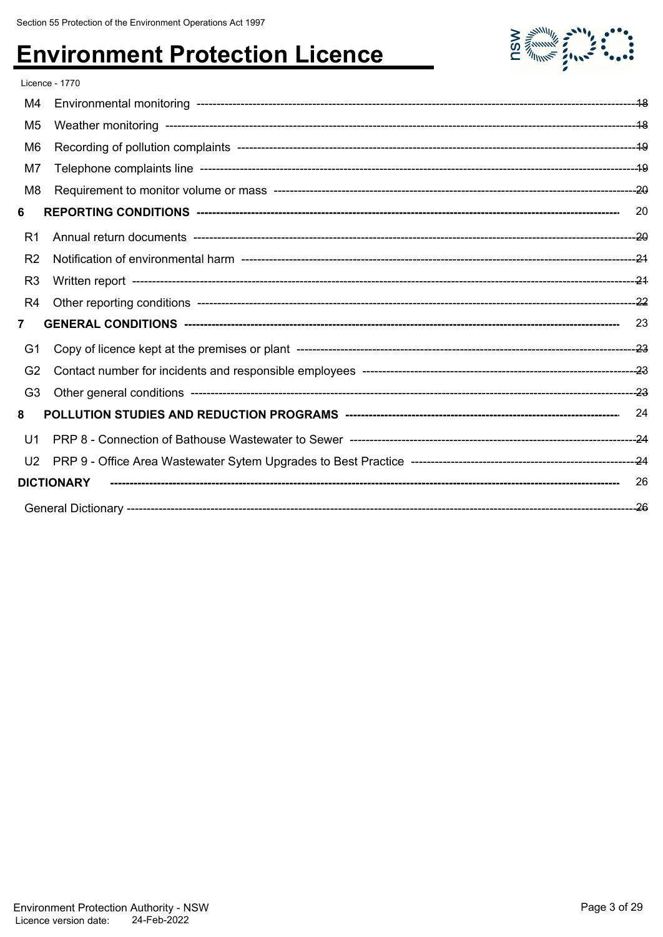

|                | <b>Licence - 1770</b> |      |
|----------------|-----------------------|------|
| M4             |                       |      |
| M <sub>5</sub> |                       |      |
| M <sub>6</sub> |                       |      |
| M7             |                       |      |
| M <sub>8</sub> |                       |      |
| 6              |                       | 20   |
| R <sub>1</sub> |                       |      |
| R <sub>2</sub> |                       |      |
| R <sub>3</sub> |                       |      |
| R4             |                       |      |
| $\mathbf{7}$   |                       | 23   |
| G1             |                       |      |
| G <sub>2</sub> |                       |      |
| G <sub>3</sub> |                       |      |
| 8              |                       |      |
| U1             |                       |      |
| U <sub>2</sub> |                       |      |
|                | <b>DICTIONARY</b>     | 26   |
|                |                       | --26 |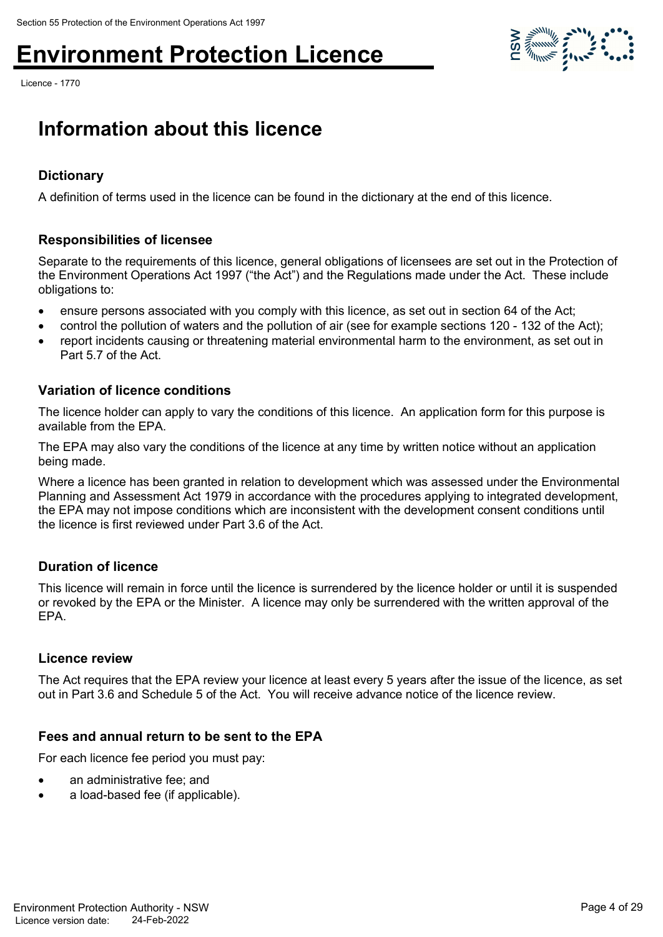Licence - 1770

### **Information about this licence**

### **Dictionary**

A definition of terms used in the licence can be found in the dictionary at the end of this licence.

#### **Responsibilities of licensee**

Separate to the requirements of this licence, general obligations of licensees are set out in the Protection of the Environment Operations Act 1997 ("the Act") and the Regulations made under the Act. These include obligations to:

- ensure persons associated with you comply with this licence, as set out in section 64 of the Act;
- control the pollution of waters and the pollution of air (see for example sections 120 132 of the Act);
- report incidents causing or threatening material environmental harm to the environment, as set out in Part 5.7 of the Act.

#### **Variation of licence conditions**

The licence holder can apply to vary the conditions of this licence. An application form for this purpose is available from the EPA.

The EPA may also vary the conditions of the licence at any time by written notice without an application being made.

Where a licence has been granted in relation to development which was assessed under the Environmental Planning and Assessment Act 1979 in accordance with the procedures applying to integrated development, the EPA may not impose conditions which are inconsistent with the development consent conditions until the licence is first reviewed under Part 3.6 of the Act.

#### **Duration of licence**

This licence will remain in force until the licence is surrendered by the licence holder or until it is suspended or revoked by the EPA or the Minister. A licence may only be surrendered with the written approval of the EPA.

#### **Licence review**

The Act requires that the EPA review your licence at least every 5 years after the issue of the licence, as set out in Part 3.6 and Schedule 5 of the Act. You will receive advance notice of the licence review.

#### **Fees and annual return to be sent to the EPA**

For each licence fee period you must pay:

- an administrative fee; and
- a load-based fee (if applicable).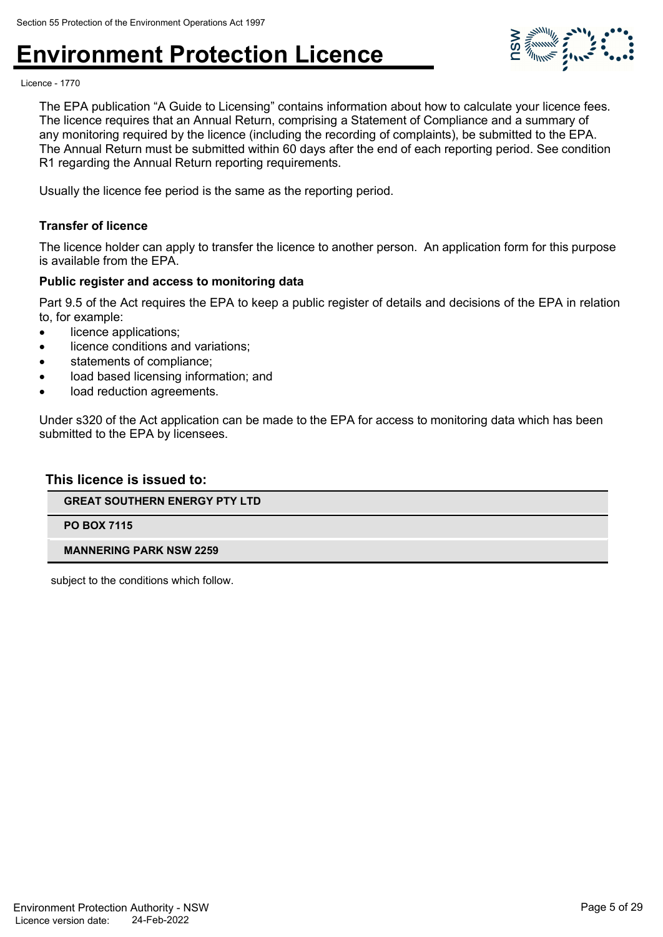

Licence - 1770

The EPA publication "A Guide to Licensing" contains information about how to calculate your licence fees. The licence requires that an Annual Return, comprising a Statement of Compliance and a summary of any monitoring required by the licence (including the recording of complaints), be submitted to the EPA. The Annual Return must be submitted within 60 days after the end of each reporting period. See condition R1 regarding the Annual Return reporting requirements.

Usually the licence fee period is the same as the reporting period.

#### **Transfer of licence**

The licence holder can apply to transfer the licence to another person. An application form for this purpose is available from the EPA.

#### **Public register and access to monitoring data**

Part 9.5 of the Act requires the EPA to keep a public register of details and decisions of the EPA in relation to, for example:

- licence applications:
- licence conditions and variations;
- statements of compliance;
- load based licensing information; and
- load reduction agreements.

Under s320 of the Act application can be made to the EPA for access to monitoring data which has been submitted to the EPA by licensees.

#### **This licence is issued to:**

**GREAT SOUTHERN ENERGY PTY LTD**

**PO BOX 7115**

#### **MANNERING PARK NSW 2259**

subject to the conditions which follow.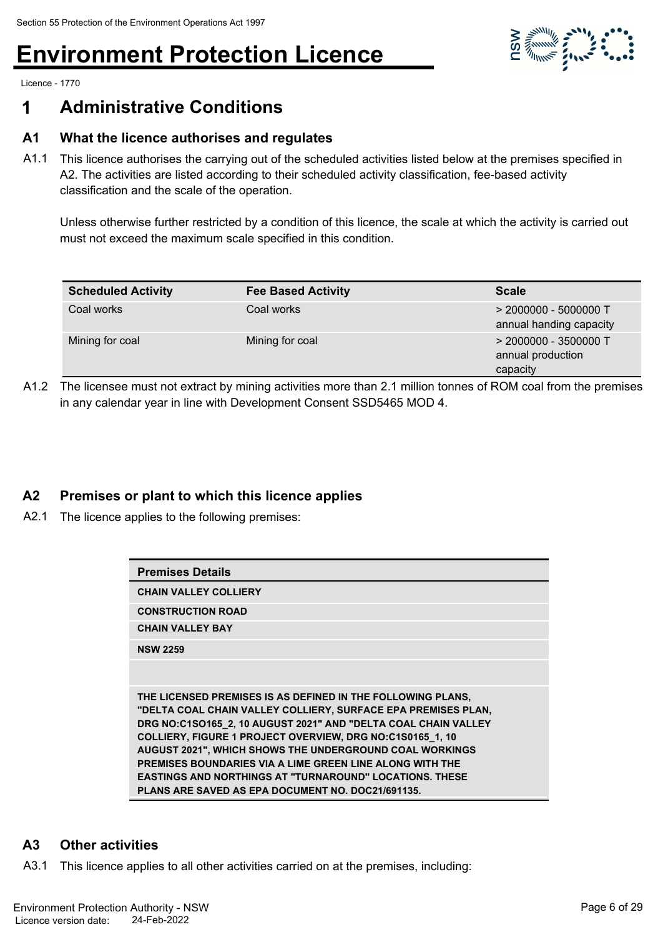

Licence - 1770

### **1 Administrative Conditions**

#### **A1 What the licence authorises and regulates**

A1.1 This licence authorises the carrying out of the scheduled activities listed below at the premises specified in A2. The activities are listed according to their scheduled activity classification, fee-based activity classification and the scale of the operation.

Unless otherwise further restricted by a condition of this licence, the scale at which the activity is carried out must not exceed the maximum scale specified in this condition.

| <b>Scheduled Activity</b> | <b>Fee Based Activity</b> | <b>Scale</b>                                             |
|---------------------------|---------------------------|----------------------------------------------------------|
| Coal works                | Coal works                | $>$ 2000000 - 5000000 T<br>annual handing capacity       |
| Mining for coal           | Mining for coal           | $>$ 2000000 - 3500000 T<br>annual production<br>capacity |

A1.2 The licensee must not extract by mining activities more than 2.1 million tonnes of ROM coal from the premises in any calendar year in line with Development Consent SSD5465 MOD 4.

#### **A2 Premises or plant to which this licence applies**

A2.1 The licence applies to the following premises:

| <b>Premises Details</b>                                                                                                                                                                                                                                                                                                                                                                                                                                                                                                 |
|-------------------------------------------------------------------------------------------------------------------------------------------------------------------------------------------------------------------------------------------------------------------------------------------------------------------------------------------------------------------------------------------------------------------------------------------------------------------------------------------------------------------------|
| <b>CHAIN VALLEY COLLIERY</b>                                                                                                                                                                                                                                                                                                                                                                                                                                                                                            |
| <b>CONSTRUCTION ROAD</b>                                                                                                                                                                                                                                                                                                                                                                                                                                                                                                |
| <b>CHAIN VALLEY BAY</b>                                                                                                                                                                                                                                                                                                                                                                                                                                                                                                 |
| <b>NSW 2259</b>                                                                                                                                                                                                                                                                                                                                                                                                                                                                                                         |
|                                                                                                                                                                                                                                                                                                                                                                                                                                                                                                                         |
| THE LICENSED PREMISES IS AS DEFINED IN THE FOLLOWING PLANS.<br>"DELTA COAL CHAIN VALLEY COLLIERY, SURFACE EPA PREMISES PLAN,<br>DRG NO:C1SO165_2, 10 AUGUST 2021" AND "DELTA COAL CHAIN VALLEY<br>COLLIERY, FIGURE 1 PROJECT OVERVIEW, DRG NO:C1S0165_1, 10<br><b>AUGUST 2021", WHICH SHOWS THE UNDERGROUND COAL WORKINGS</b><br>PREMISES BOUNDARIES VIA A LIME GREEN LINE ALONG WITH THE<br><b>EASTINGS AND NORTHINGS AT "TURNAROUND" LOCATIONS. THESE</b><br><b>PLANS ARE SAVED AS EPA DOCUMENT NO. DOC21/691135.</b> |

#### **A3 Other activities**

A3.1 This licence applies to all other activities carried on at the premises, including: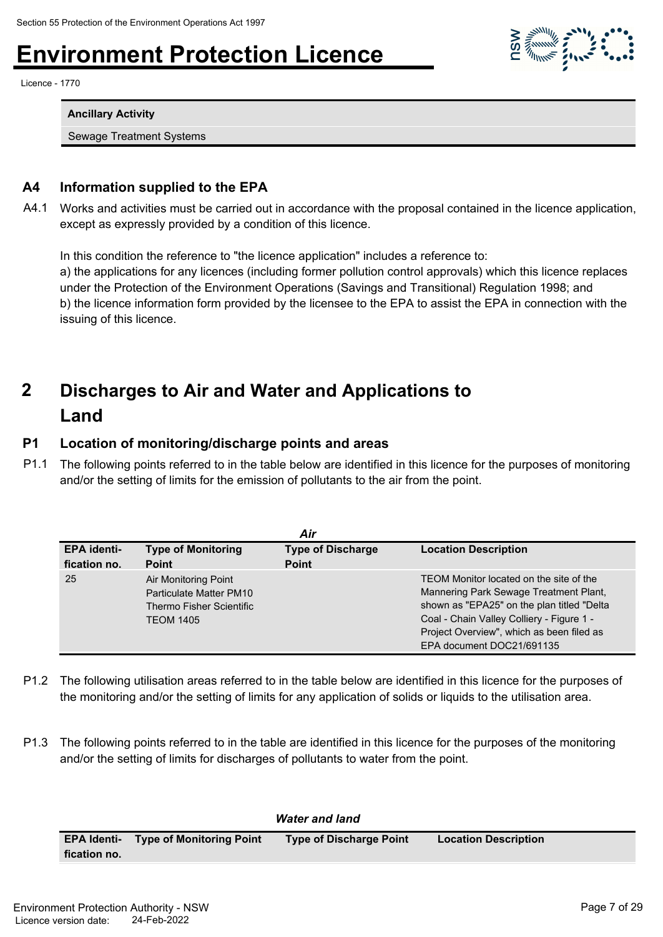Licence - 1770

**Ancillary Activity**

Sewage Treatment Systems

#### **A4 Information supplied to the EPA**

A4.1 Works and activities must be carried out in accordance with the proposal contained in the licence application, except as expressly provided by a condition of this licence.

In this condition the reference to "the licence application" includes a reference to:

a) the applications for any licences (including former pollution control approvals) which this licence replaces under the Protection of the Environment Operations (Savings and Transitional) Regulation 1998; and b) the licence information form provided by the licensee to the EPA to assist the EPA in connection with the issuing of this licence.

#### **Discharges to Air and Water and Applications to Land 2**

#### **P1 Location of monitoring/discharge points and areas**

P1.1 The following points referred to in the table below are identified in this licence for the purposes of monitoring and/or the setting of limits for the emission of pollutants to the air from the point.

|                                    |                                                                                                 | Air                                      |                                                                                                                                                                                                                                                        |
|------------------------------------|-------------------------------------------------------------------------------------------------|------------------------------------------|--------------------------------------------------------------------------------------------------------------------------------------------------------------------------------------------------------------------------------------------------------|
| <b>EPA identi-</b><br>fication no. | <b>Type of Monitoring</b><br><b>Point</b>                                                       | <b>Type of Discharge</b><br><b>Point</b> | <b>Location Description</b>                                                                                                                                                                                                                            |
| 25                                 | Air Monitoring Point<br>Particulate Matter PM10<br>Thermo Fisher Scientific<br><b>TEOM 1405</b> |                                          | TEOM Monitor located on the site of the<br>Mannering Park Sewage Treatment Plant,<br>shown as "EPA25" on the plan titled "Delta<br>Coal - Chain Valley Colliery - Figure 1 -<br>Project Overview", which as been filed as<br>EPA document DOC21/691135 |

- P1.2 The following utilisation areas referred to in the table below are identified in this licence for the purposes of the monitoring and/or the setting of limits for any application of solids or liquids to the utilisation area.
- P1.3 The following points referred to in the table are identified in this licence for the purposes of the monitoring and/or the setting of limits for discharges of pollutants to water from the point.

|              |                                             | <b>Water and land</b>          |                             |  |
|--------------|---------------------------------------------|--------------------------------|-----------------------------|--|
|              | <b>EPA Identi- Type of Monitoring Point</b> | <b>Type of Discharge Point</b> | <b>Location Description</b> |  |
| fication no. |                                             |                                |                             |  |

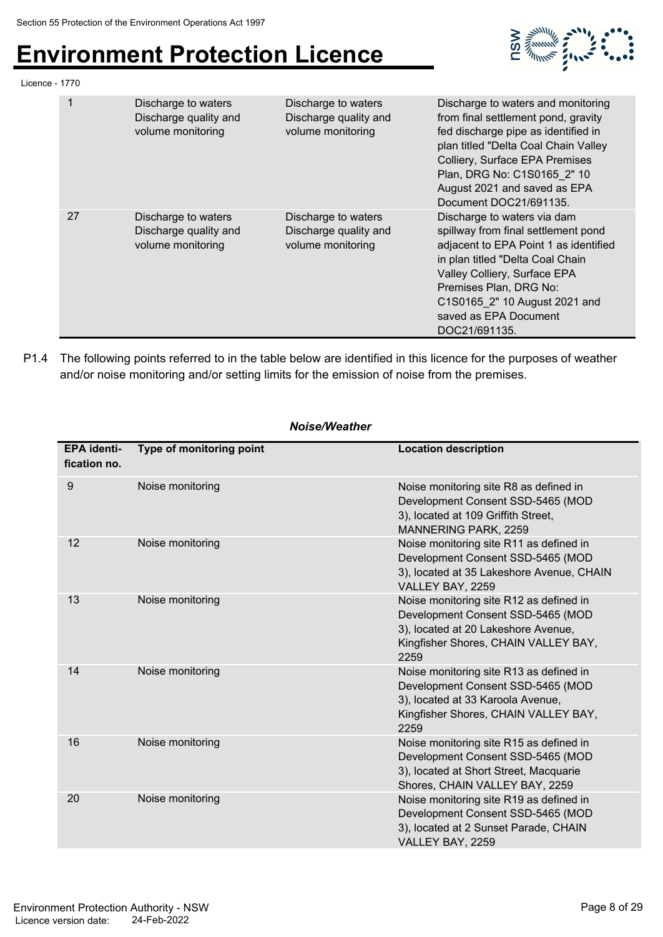

| Licence - 1770 |             |                                                                   |                                                                   |                                                                                                                                                                                                                                                                                      |
|----------------|-------------|-------------------------------------------------------------------|-------------------------------------------------------------------|--------------------------------------------------------------------------------------------------------------------------------------------------------------------------------------------------------------------------------------------------------------------------------------|
|                | $\mathbf 1$ | Discharge to waters<br>Discharge quality and<br>volume monitoring | Discharge to waters<br>Discharge quality and<br>volume monitoring | Discharge to waters and monitoring<br>from final settlement pond, gravity<br>fed discharge pipe as identified in<br>plan titled "Delta Coal Chain Valley<br>Colliery, Surface EPA Premises<br>Plan, DRG No: C1S0165 2" 10<br>August 2021 and saved as EPA<br>Document DOC21/691135.  |
|                | 27          | Discharge to waters<br>Discharge quality and<br>volume monitoring | Discharge to waters<br>Discharge quality and<br>volume monitoring | Discharge to waters via dam<br>spillway from final settlement pond<br>adjacent to EPA Point 1 as identified<br>in plan titled "Delta Coal Chain<br>Valley Colliery, Surface EPA<br>Premises Plan, DRG No:<br>C1S0165 2" 10 August 2021 and<br>saved as EPA Document<br>DOC21/691135. |

P1.4 The following points referred to in the table below are identified in this licence for the purposes of weather and/or noise monitoring and/or setting limits for the emission of noise from the premises.

| <b>EPA</b> identi-<br>fication no. | Type of monitoring point | <b>Location description</b>                                                                                                                                         |
|------------------------------------|--------------------------|---------------------------------------------------------------------------------------------------------------------------------------------------------------------|
| 9                                  | Noise monitoring         | Noise monitoring site R8 as defined in<br>Development Consent SSD-5465 (MOD<br>3), located at 109 Griffith Street,<br><b>MANNERING PARK, 2259</b>                   |
| 12                                 | Noise monitoring         | Noise monitoring site R11 as defined in<br>Development Consent SSD-5465 (MOD<br>3), located at 35 Lakeshore Avenue, CHAIN<br>VALLEY BAY, 2259                       |
| 13                                 | Noise monitoring         | Noise monitoring site R12 as defined in<br>Development Consent SSD-5465 (MOD<br>3), located at 20 Lakeshore Avenue,<br>Kingfisher Shores, CHAIN VALLEY BAY,<br>2259 |
| 14                                 | Noise monitoring         | Noise monitoring site R13 as defined in<br>Development Consent SSD-5465 (MOD<br>3), located at 33 Karoola Avenue,<br>Kingfisher Shores, CHAIN VALLEY BAY,<br>2259   |
| 16                                 | Noise monitoring         | Noise monitoring site R15 as defined in<br>Development Consent SSD-5465 (MOD<br>3), located at Short Street, Macquarie<br>Shores, CHAIN VALLEY BAY, 2259            |
| 20                                 | Noise monitoring         | Noise monitoring site R19 as defined in<br>Development Consent SSD-5465 (MOD<br>3), located at 2 Sunset Parade, CHAIN<br>VALLEY BAY, 2259                           |

#### *Noise/Weather*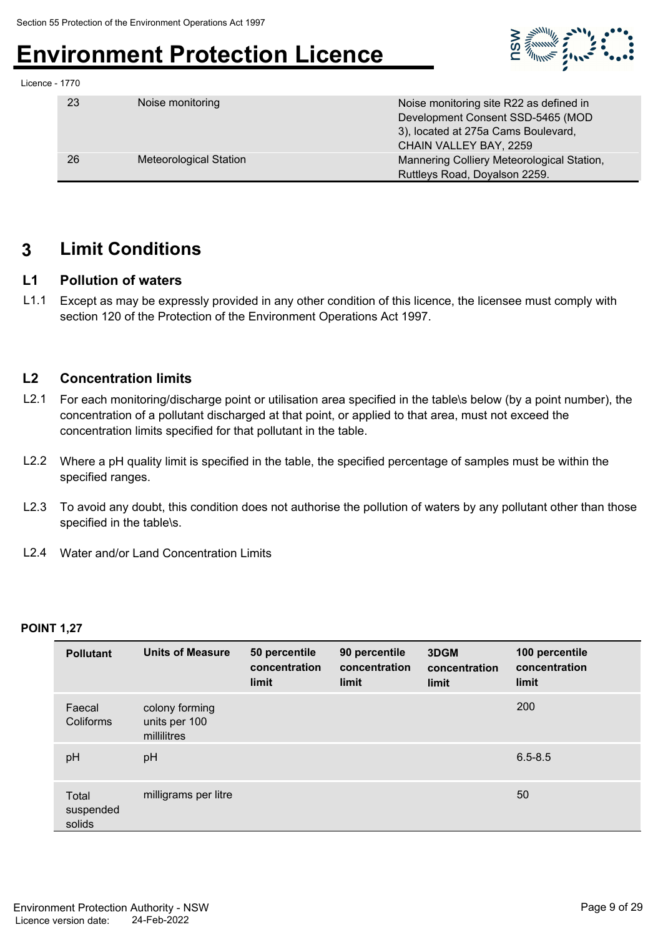

| Licence - 1770 |  |
|----------------|--|
|----------------|--|

| 23 | Noise monitoring              | Noise monitoring site R22 as defined in    |
|----|-------------------------------|--------------------------------------------|
|    |                               | Development Consent SSD-5465 (MOD          |
|    |                               | 3), located at 275a Cams Boulevard,        |
|    |                               | CHAIN VALLEY BAY, 2259                     |
| 26 | <b>Meteorological Station</b> | Mannering Colliery Meteorological Station, |
|    |                               | Ruttleys Road, Doyalson 2259.              |

### **3 Limit Conditions**

#### **L1 Pollution of waters**

L1.1 Except as may be expressly provided in any other condition of this licence, the licensee must comply with section 120 of the Protection of the Environment Operations Act 1997.

#### **L2 Concentration limits**

- L2.1 For each monitoring/discharge point or utilisation area specified in the table\s below (by a point number), the concentration of a pollutant discharged at that point, or applied to that area, must not exceed the concentration limits specified for that pollutant in the table.
- L2.2 Where a pH quality limit is specified in the table, the specified percentage of samples must be within the specified ranges.
- L2.3 To avoid any doubt, this condition does not authorise the pollution of waters by any pollutant other than those specified in the table\s.
- L2.4 Water and/or Land Concentration Limits

#### **POINT 1,27**

| <b>Pollutant</b>             | <b>Units of Measure</b>                        | 50 percentile<br>concentration<br>limit | 90 percentile<br>concentration<br>limit | 3DGM<br>concentration<br>limit | 100 percentile<br>concentration<br>limit |
|------------------------------|------------------------------------------------|-----------------------------------------|-----------------------------------------|--------------------------------|------------------------------------------|
| Faecal<br>Coliforms          | colony forming<br>units per 100<br>millilitres |                                         |                                         |                                | 200                                      |
| pH                           | pH                                             |                                         |                                         |                                | $6.5 - 8.5$                              |
| Total<br>suspended<br>solids | milligrams per litre                           |                                         |                                         |                                | 50                                       |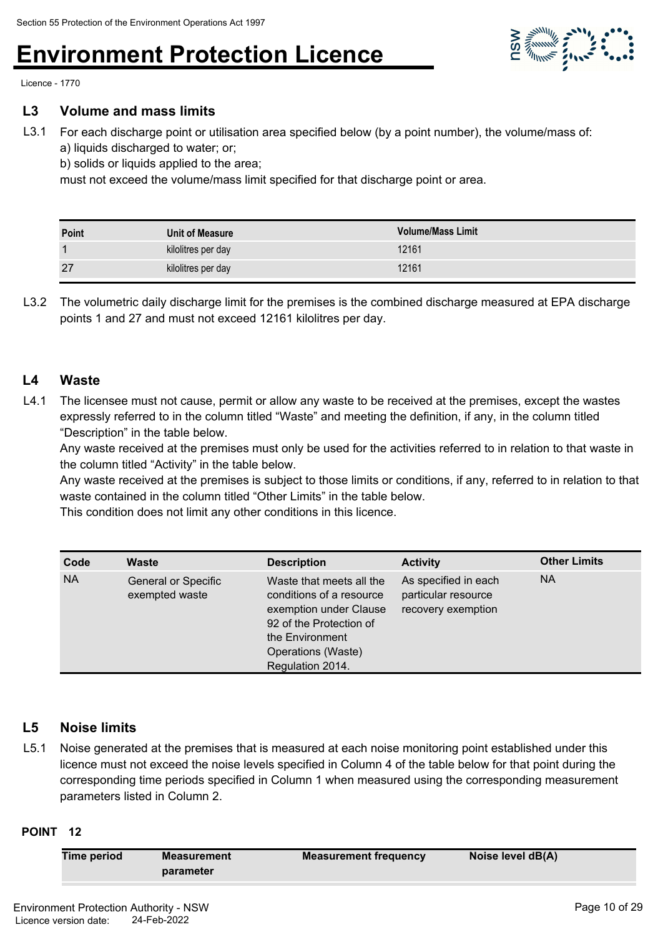

Licence - 1770

#### **L3 Volume and mass limits**

L3.1 For each discharge point or utilisation area specified below (by a point number), the volume/mass of: a) liquids discharged to water; or;

b) solids or liquids applied to the area;

must not exceed the volume/mass limit specified for that discharge point or area.

| Point | Unit of Measure    | <b>Volume/Mass Limit</b> |
|-------|--------------------|--------------------------|
|       | kilolitres per day | 12161                    |
| 27    | kilolitres per day | 12161                    |

L3.2 The volumetric daily discharge limit for the premises is the combined discharge measured at EPA discharge points 1 and 27 and must not exceed 12161 kilolitres per day.

#### **L4 Waste**

L4.1 The licensee must not cause, permit or allow any waste to be received at the premises, except the wastes expressly referred to in the column titled "Waste" and meeting the definition, if any, in the column titled "Description" in the table below.

Any waste received at the premises must only be used for the activities referred to in relation to that waste in the column titled "Activity" in the table below.

Any waste received at the premises is subject to those limits or conditions, if any, referred to in relation to that waste contained in the column titled "Other Limits" in the table below.

This condition does not limit any other conditions in this licence.

| Code      | <b>Waste</b>                                 | <b>Description</b>                                                                                                                                                     | <b>Activity</b>                                                   | <b>Other Limits</b> |
|-----------|----------------------------------------------|------------------------------------------------------------------------------------------------------------------------------------------------------------------------|-------------------------------------------------------------------|---------------------|
| <b>NA</b> | <b>General or Specific</b><br>exempted waste | Waste that meets all the<br>conditions of a resource<br>exemption under Clause<br>92 of the Protection of<br>the Environment<br>Operations (Waste)<br>Regulation 2014. | As specified in each<br>particular resource<br>recovery exemption | <b>NA</b>           |

#### **L5 Noise limits**

L5.1 Noise generated at the premises that is measured at each noise monitoring point established under this licence must not exceed the noise levels specified in Column 4 of the table below for that point during the corresponding time periods specified in Column 1 when measured using the corresponding measurement parameters listed in Column 2.

#### **POINT 12**

| Time period | Measurement | <b>Measurement frequency</b> | Noise level dB(A) |
|-------------|-------------|------------------------------|-------------------|
|             | parameter   |                              |                   |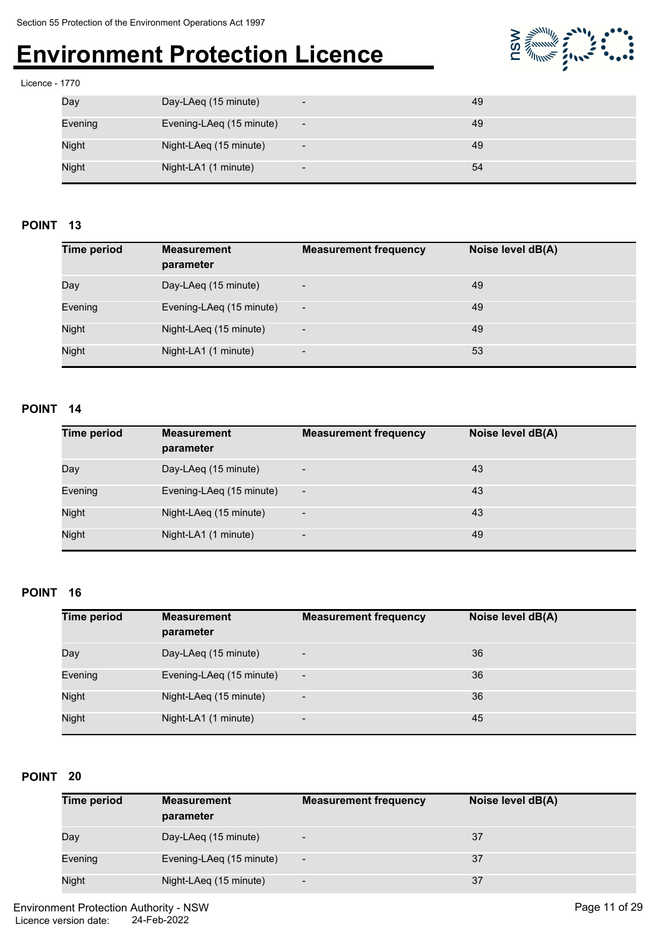

#### Licence - 1770

| Day          | Day-LAeq (15 minute)     | $\overline{\phantom{a}}$ | 49 |
|--------------|--------------------------|--------------------------|----|
| Evening      | Evening-LAeq (15 minute) | $\overline{\phantom{a}}$ | 49 |
| <b>Night</b> | Night-LAeq (15 minute)   | $\overline{\phantom{a}}$ | 49 |
| <b>Night</b> | Night-LA1 (1 minute)     | $\overline{\phantom{a}}$ | 54 |

#### **POINT 13**

| <b>Time period</b> | <b>Measurement</b><br>parameter | <b>Measurement frequency</b> | Noise level dB(A) |
|--------------------|---------------------------------|------------------------------|-------------------|
| Day                | Day-LAeq (15 minute)            | $\overline{\phantom{a}}$     | 49                |
| Evening            | Evening-LAeq (15 minute)        | $\overline{\phantom{a}}$     | 49                |
| <b>Night</b>       | Night-LAeq (15 minute)          | $\overline{\phantom{a}}$     | 49                |
| Night              | Night-LA1 (1 minute)            | $\overline{\phantom{a}}$     | 53                |

#### **POINT 14**

| <b>Time period</b> | <b>Measurement</b><br>parameter | <b>Measurement frequency</b> | Noise level dB(A) |
|--------------------|---------------------------------|------------------------------|-------------------|
| Day                | Day-LAeq (15 minute)            | $\overline{\phantom{a}}$     | 43                |
| Evening            | Evening-LAeq (15 minute)        | $\overline{\phantom{a}}$     | 43                |
| Night              | Night-LAeq (15 minute)          | $\overline{\phantom{a}}$     | 43                |
| <b>Night</b>       | Night-LA1 (1 minute)            | $\overline{\phantom{0}}$     | 49                |

#### **POINT 16**

| <b>Time period</b> | <b>Measurement</b><br>parameter | <b>Measurement frequency</b> | Noise level dB(A) |
|--------------------|---------------------------------|------------------------------|-------------------|
| Day                | Day-LAeq (15 minute)            | $\overline{\phantom{a}}$     | 36                |
| Evening            | Evening-LAeq (15 minute)        | $\overline{\phantom{0}}$     | 36                |
| <b>Night</b>       | Night-LAeq (15 minute)          | $\overline{\phantom{a}}$     | 36                |
| <b>Night</b>       | Night-LA1 (1 minute)            | $\overline{\phantom{a}}$     | 45                |

#### **POINT 20**

| <b>Time period</b> | <b>Measurement</b><br>parameter | <b>Measurement frequency</b> | Noise level dB(A) |
|--------------------|---------------------------------|------------------------------|-------------------|
| Day                | Day-LAeg (15 minute)            | $\overline{\phantom{0}}$     | 37                |
| Evening            | Evening-LAeq (15 minute)        | $\overline{\phantom{a}}$     | 37                |
| <b>Night</b>       | Night-LAeq (15 minute)          | $\overline{\phantom{a}}$     | 37                |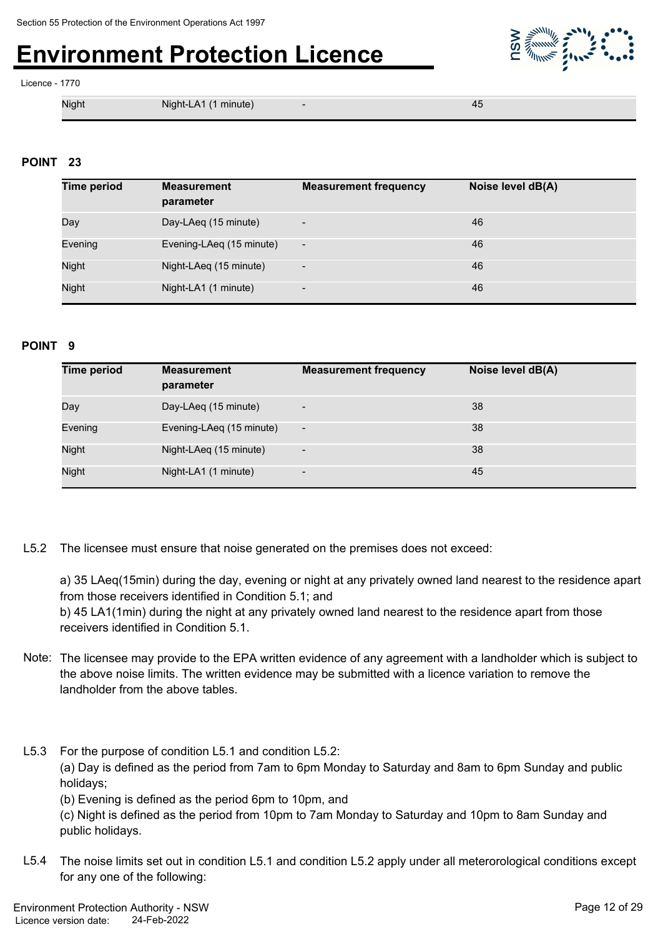

#### Licence - 1770

Night Night-LA1 (1 minute) - 45

#### **POINT 23**

| <b>Time period</b> | <b>Measurement</b><br>parameter | <b>Measurement frequency</b> | Noise level dB(A) |
|--------------------|---------------------------------|------------------------------|-------------------|
| Day                | Day-LAeg (15 minute)            | $\overline{\phantom{a}}$     | 46                |
| Evening            | Evening-LAeq (15 minute)        | $\overline{\phantom{a}}$     | 46                |
| Night              | Night-LAeq (15 minute)          | $\overline{\phantom{a}}$     | 46                |
| Night              | Night-LA1 (1 minute)            | $\overline{\phantom{a}}$     | 46                |

#### **POINT 9**

| <b>Time period</b> | <b>Measurement</b><br>parameter | <b>Measurement frequency</b> | Noise level dB(A) |
|--------------------|---------------------------------|------------------------------|-------------------|
| Day                | Day-LAeq (15 minute)            | $\overline{\phantom{a}}$     | 38                |
| Evening            | Evening-LAeq (15 minute)        | $\overline{\phantom{a}}$     | 38                |
| Night              | Night-LAeq (15 minute)          | $\overline{\phantom{a}}$     | 38                |
| Night              | Night-LA1 (1 minute)            | $\overline{\phantom{a}}$     | 45                |

L5.2 The licensee must ensure that noise generated on the premises does not exceed:

a) 35 LAeq(15min) during the day, evening or night at any privately owned land nearest to the residence apart from those receivers identified in Condition 5.1; and

b) 45 LA1(1min) during the night at any privately owned land nearest to the residence apart from those receivers identified in Condition 5.1.

- Note: The licensee may provide to the EPA written evidence of any agreement with a landholder which is subject to the above noise limits. The written evidence may be submitted with a licence variation to remove the landholder from the above tables.
- L5.3 For the purpose of condition L5.1 and condition L5.2: (a) Day is defined as the period from 7am to 6pm Monday to Saturday and 8am to 6pm Sunday and public holidays;

(b) Evening is defined as the period 6pm to 10pm, and

(c) Night is defined as the period from 10pm to 7am Monday to Saturday and 10pm to 8am Sunday and public holidays.

L5.4 The noise limits set out in condition L5.1 and condition L5.2 apply under all meterorological conditions except for any one of the following: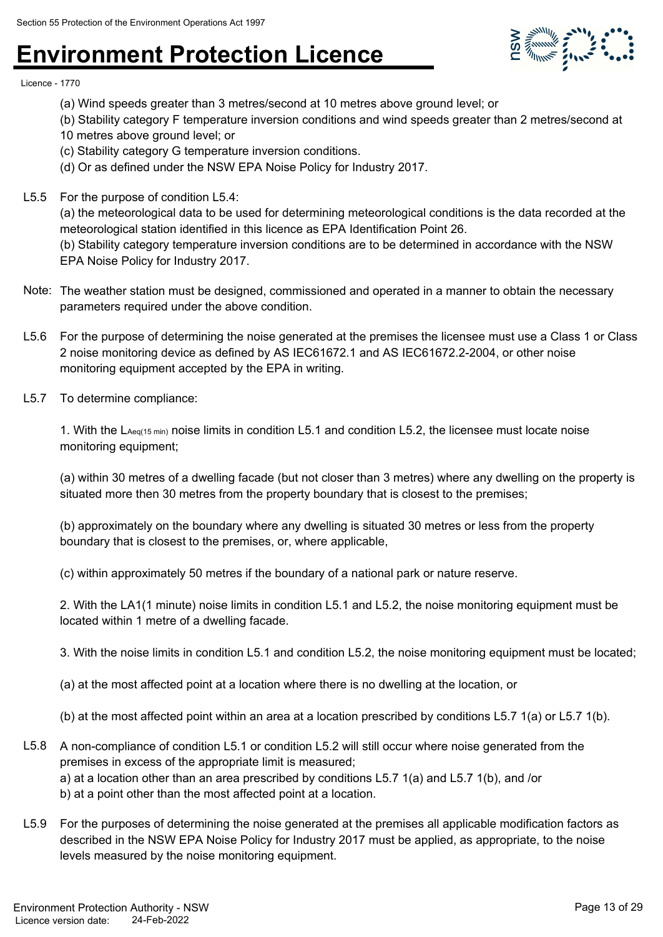

Licence - 1770

- (a) Wind speeds greater than 3 metres/second at 10 metres above ground level; or
- (b) Stability category F temperature inversion conditions and wind speeds greater than 2 metres/second at
- 10 metres above ground level; or
- (c) Stability category G temperature inversion conditions.
- (d) Or as defined under the NSW EPA Noise Policy for Industry 2017.
- L5.5 For the purpose of condition L5.4:

(a) the meteorological data to be used for determining meteorological conditions is the data recorded at the meteorological station identified in this licence as EPA Identification Point 26.

(b) Stability category temperature inversion conditions are to be determined in accordance with the NSW EPA Noise Policy for Industry 2017.

- Note: The weather station must be designed, commissioned and operated in a manner to obtain the necessary parameters required under the above condition.
- L5.6 For the purpose of determining the noise generated at the premises the licensee must use a Class 1 or Class 2 noise monitoring device as defined by AS IEC61672.1 and AS IEC61672.2-2004, or other noise monitoring equipment accepted by the EPA in writing.
- L5.7 To determine compliance:

1. With the LAeq(15 min) noise limits in condition L5.1 and condition L5.2, the licensee must locate noise monitoring equipment;

(a) within 30 metres of a dwelling facade (but not closer than 3 metres) where any dwelling on the property is situated more then 30 metres from the property boundary that is closest to the premises;

(b) approximately on the boundary where any dwelling is situated 30 metres or less from the property boundary that is closest to the premises, or, where applicable,

(c) within approximately 50 metres if the boundary of a national park or nature reserve.

2. With the LA1(1 minute) noise limits in condition L5.1 and L5.2, the noise monitoring equipment must be located within 1 metre of a dwelling facade.

3. With the noise limits in condition L5.1 and condition L5.2, the noise monitoring equipment must be located;

(a) at the most affected point at a location where there is no dwelling at the location, or

(b) at the most affected point within an area at a location prescribed by conditions L5.7 1(a) or L5.7 1(b).

- L5.8 A non-compliance of condition L5.1 or condition L5.2 will still occur where noise generated from the premises in excess of the appropriate limit is measured; a) at a location other than an area prescribed by conditions L5.7 1(a) and L5.7 1(b), and /or b) at a point other than the most affected point at a location.
- L5.9 For the purposes of determining the noise generated at the premises all applicable modification factors as described in the NSW EPA Noise Policy for Industry 2017 must be applied, as appropriate, to the noise levels measured by the noise monitoring equipment.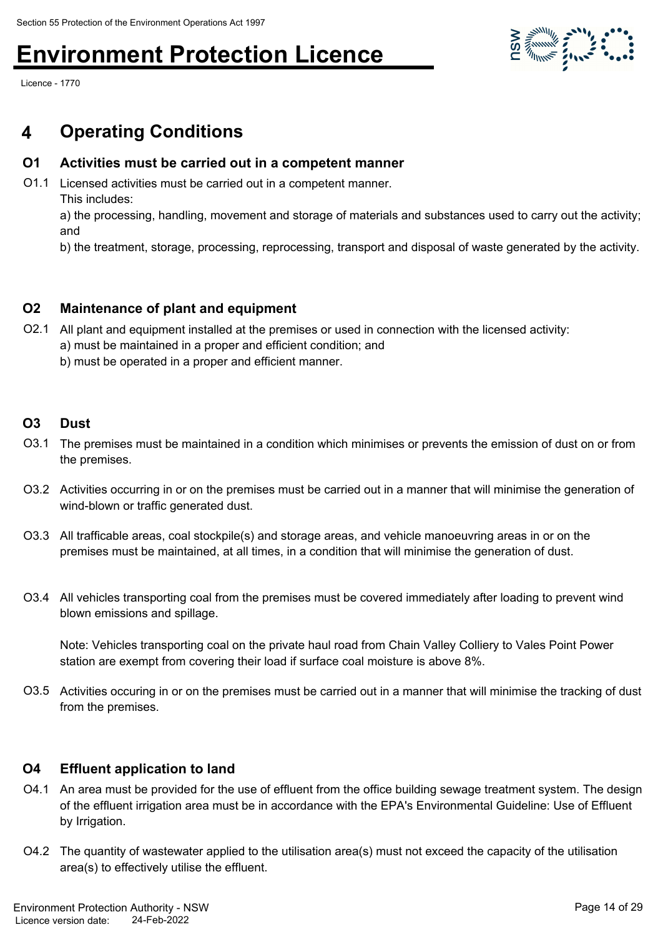Licence - 1770

### **4 Operating Conditions**

### **O1 Activities must be carried out in a competent manner**

O1.1 Licensed activities must be carried out in a competent manner. This includes:

a) the processing, handling, movement and storage of materials and substances used to carry out the activity; and

b) the treatment, storage, processing, reprocessing, transport and disposal of waste generated by the activity.

### **O2 Maintenance of plant and equipment**

- O2.1 All plant and equipment installed at the premises or used in connection with the licensed activity: a) must be maintained in a proper and efficient condition; and
	- b) must be operated in a proper and efficient manner.

### **O3 Dust**

- O3.1 The premises must be maintained in a condition which minimises or prevents the emission of dust on or from the premises.
- O3.2 Activities occurring in or on the premises must be carried out in a manner that will minimise the generation of wind-blown or traffic generated dust.
- O3.3 All trafficable areas, coal stockpile(s) and storage areas, and vehicle manoeuvring areas in or on the premises must be maintained, at all times, in a condition that will minimise the generation of dust.
- O3.4 All vehicles transporting coal from the premises must be covered immediately after loading to prevent wind blown emissions and spillage.

Note: Vehicles transporting coal on the private haul road from Chain Valley Colliery to Vales Point Power station are exempt from covering their load if surface coal moisture is above 8%.

O3.5 Activities occuring in or on the premises must be carried out in a manner that will minimise the tracking of dust from the premises.

### **O4 Effluent application to land**

- O4.1 An area must be provided for the use of effluent from the office building sewage treatment system. The design of the effluent irrigation area must be in accordance with the EPA's Environmental Guideline: Use of Effluent by Irrigation.
- O4.2 The quantity of wastewater applied to the utilisation area(s) must not exceed the capacity of the utilisation area(s) to effectively utilise the effluent.

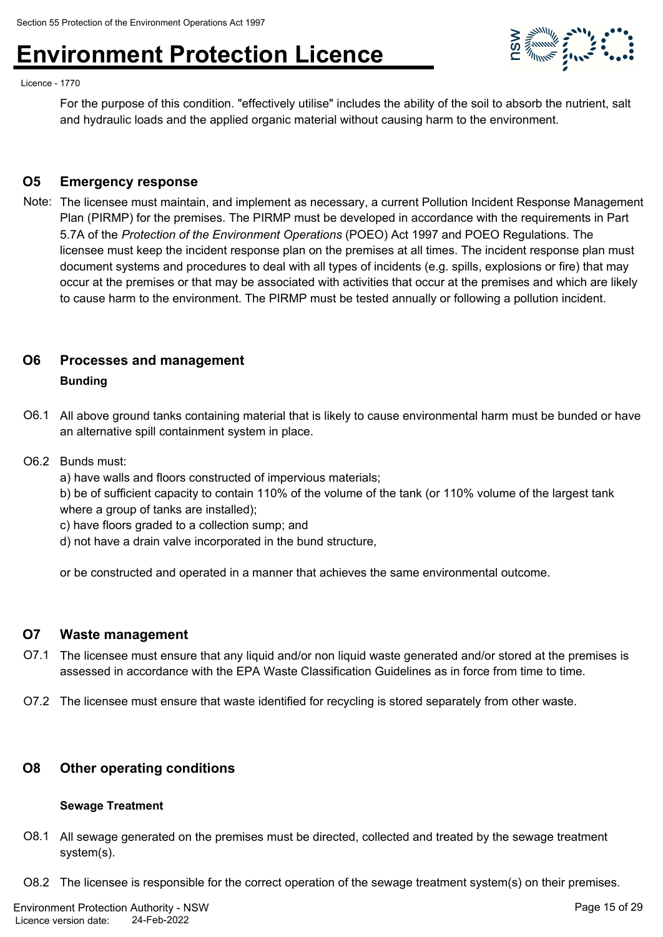

For the purpose of this condition. "effectively utilise" includes the ability of the soil to absorb the nutrient, salt and hydraulic loads and the applied organic material without causing harm to the environment.

**SOFFICIAL STATE** 

#### **O5 Emergency response**

Note: The licensee must maintain, and implement as necessary, a current Pollution Incident Response Management Plan (PIRMP) for the premises. The PIRMP must be developed in accordance with the requirements in Part 5.7A of the *Protection of the Environment Operations* (POEO) Act 1997 and POEO Regulations. The licensee must keep the incident response plan on the premises at all times. The incident response plan must document systems and procedures to deal with all types of incidents (e.g. spills, explosions or fire) that may occur at the premises or that may be associated with activities that occur at the premises and which are likely to cause harm to the environment. The PIRMP must be tested annually or following a pollution incident.

#### **O6 Processes and management**

#### **Bunding**

O6.1 All above ground tanks containing material that is likely to cause environmental harm must be bunded or have an alternative spill containment system in place.

#### O6.2 Bunds must:

a) have walls and floors constructed of impervious materials;

b) be of sufficient capacity to contain 110% of the volume of the tank (or 110% volume of the largest tank where a group of tanks are installed);

c) have floors graded to a collection sump; and

d) not have a drain valve incorporated in the bund structure,

or be constructed and operated in a manner that achieves the same environmental outcome.

#### **O7 Waste management**

- O7.1 The licensee must ensure that any liquid and/or non liquid waste generated and/or stored at the premises is assessed in accordance with the EPA Waste Classification Guidelines as in force from time to time.
- O7.2 The licensee must ensure that waste identified for recycling is stored separately from other waste.

#### **O8 Other operating conditions**

#### **Sewage Treatment**

- O8.1 All sewage generated on the premises must be directed, collected and treated by the sewage treatment system(s).
- O8.2 The licensee is responsible for the correct operation of the sewage treatment system(s) on their premises.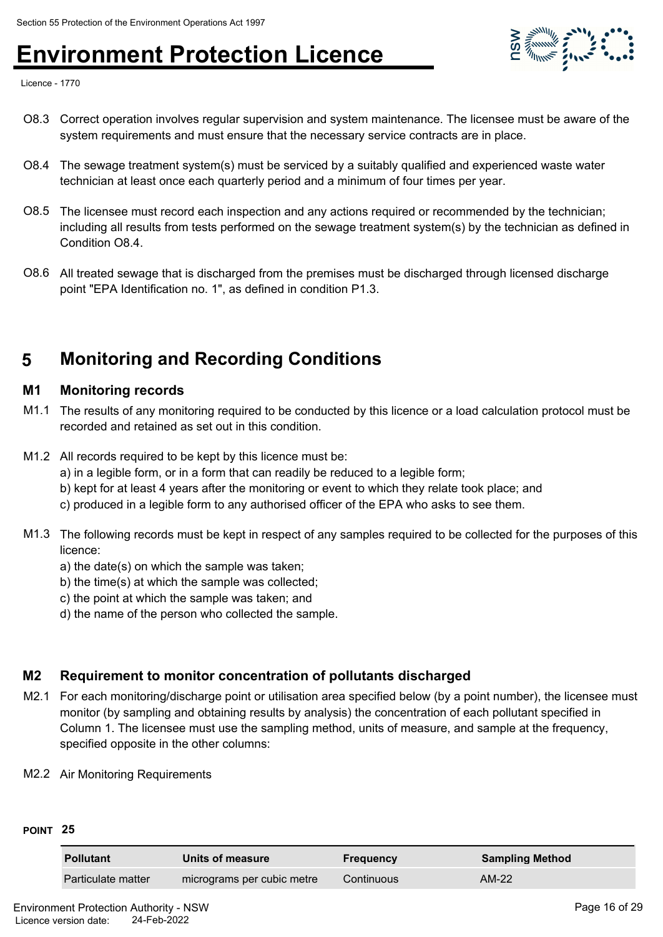

Licence - 1770

- O8.3 Correct operation involves regular supervision and system maintenance. The licensee must be aware of the system requirements and must ensure that the necessary service contracts are in place.
- O8.4 The sewage treatment system(s) must be serviced by a suitably qualified and experienced waste water technician at least once each quarterly period and a minimum of four times per year.
- O8.5 The licensee must record each inspection and any actions required or recommended by the technician; including all results from tests performed on the sewage treatment system(s) by the technician as defined in Condition O8.4.
- O8.6 All treated sewage that is discharged from the premises must be discharged through licensed discharge point "EPA Identification no. 1", as defined in condition P1.3.

### **5 Monitoring and Recording Conditions**

#### **M1 Monitoring records**

- M1.1 The results of any monitoring required to be conducted by this licence or a load calculation protocol must be recorded and retained as set out in this condition.
- M1.2 All records required to be kept by this licence must be:
	- a) in a legible form, or in a form that can readily be reduced to a legible form;
	- b) kept for at least 4 years after the monitoring or event to which they relate took place; and
	- c) produced in a legible form to any authorised officer of the EPA who asks to see them.
- M1.3 The following records must be kept in respect of any samples required to be collected for the purposes of this licence:
	- a) the date(s) on which the sample was taken;
	- b) the time(s) at which the sample was collected;
	- c) the point at which the sample was taken; and
	- d) the name of the person who collected the sample.

#### **M2 Requirement to monitor concentration of pollutants discharged**

- M2.1 For each monitoring/discharge point or utilisation area specified below (by a point number), the licensee must monitor (by sampling and obtaining results by analysis) the concentration of each pollutant specified in Column 1. The licensee must use the sampling method, units of measure, and sample at the frequency, specified opposite in the other columns:
- M2.2 Air Monitoring Requirements

#### **POINT 25**

| <b>Pollutant</b>   | Units of measure           | <b>Frequency</b> | <b>Sampling Method</b> |
|--------------------|----------------------------|------------------|------------------------|
| Particulate matter | micrograms per cubic metre | Continuous       | AM-22                  |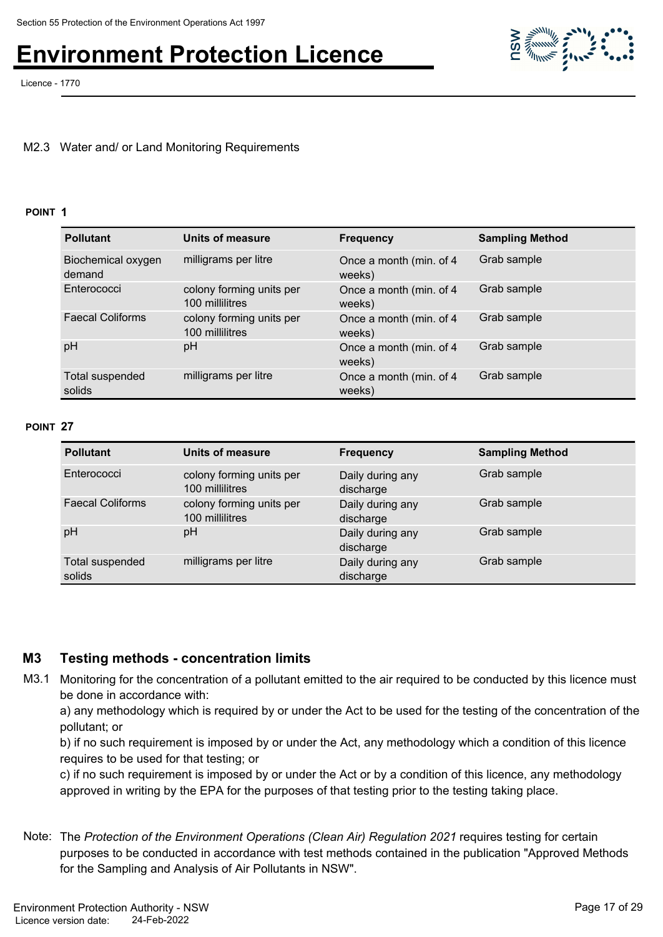Licence - 1770



#### M2.3 Water and/ or Land Monitoring Requirements

#### **POINT 1**

| <b>Pollutant</b>             | <b>Units of measure</b>                     | <b>Frequency</b>                  | <b>Sampling Method</b> |
|------------------------------|---------------------------------------------|-----------------------------------|------------------------|
| Biochemical oxygen<br>demand | milligrams per litre                        | Once a month (min. of 4<br>weeks) | Grab sample            |
| Enterococci                  | colony forming units per<br>100 millilitres | Once a month (min. of 4<br>weeks) | Grab sample            |
| <b>Faecal Coliforms</b>      | colony forming units per<br>100 millilitres | Once a month (min. of 4<br>weeks) | Grab sample            |
| pH                           | pH                                          | Once a month (min. of 4<br>weeks) | Grab sample            |
| Total suspended<br>solids    | milligrams per litre                        | Once a month (min. of 4<br>weeks) | Grab sample            |

#### **POINT 27**

| <b>Pollutant</b>          | Units of measure                            | <b>Frequency</b>              | <b>Sampling Method</b> |
|---------------------------|---------------------------------------------|-------------------------------|------------------------|
| Enterococci               | colony forming units per<br>100 millilitres | Daily during any<br>discharge | Grab sample            |
| <b>Faecal Coliforms</b>   | colony forming units per<br>100 millilitres | Daily during any<br>discharge | Grab sample            |
| pH                        | рH                                          | Daily during any<br>discharge | Grab sample            |
| Total suspended<br>solids | milligrams per litre                        | Daily during any<br>discharge | Grab sample            |

#### **M3 Testing methods - concentration limits**

M3.1 Monitoring for the concentration of a pollutant emitted to the air required to be conducted by this licence must be done in accordance with:

a) any methodology which is required by or under the Act to be used for the testing of the concentration of the pollutant; or

b) if no such requirement is imposed by or under the Act, any methodology which a condition of this licence requires to be used for that testing; or

c) if no such requirement is imposed by or under the Act or by a condition of this licence, any methodology approved in writing by the EPA for the purposes of that testing prior to the testing taking place.

Note: The *Protection of the Environment Operations (Clean Air) Regulation 2021* requires testing for certain purposes to be conducted in accordance with test methods contained in the publication "Approved Methods for the Sampling and Analysis of Air Pollutants in NSW".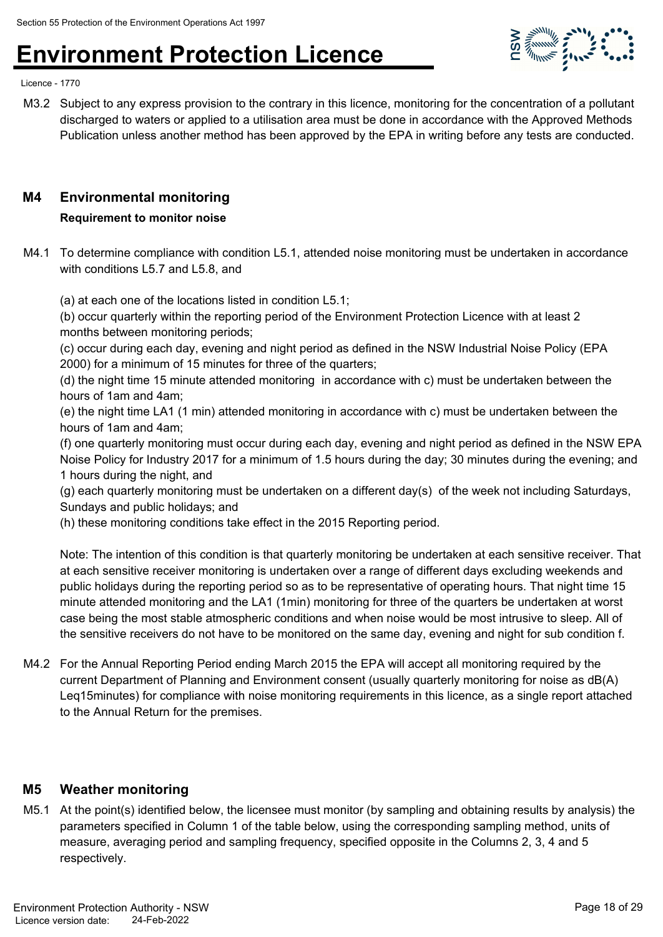

Licence - 1770

M3.2 Subject to any express provision to the contrary in this licence, monitoring for the concentration of a pollutant discharged to waters or applied to a utilisation area must be done in accordance with the Approved Methods Publication unless another method has been approved by the EPA in writing before any tests are conducted.

#### **M4 Environmental monitoring**

#### **Requirement to monitor noise**

M4.1 To determine compliance with condition L5.1, attended noise monitoring must be undertaken in accordance with conditions L5.7 and L5.8, and

(a) at each one of the locations listed in condition L5.1;

(b) occur quarterly within the reporting period of the Environment Protection Licence with at least 2 months between monitoring periods;

(c) occur during each day, evening and night period as defined in the NSW Industrial Noise Policy (EPA 2000) for a minimum of 15 minutes for three of the quarters;

(d) the night time 15 minute attended monitoring in accordance with c) must be undertaken between the hours of 1am and 4am;

(e) the night time LA1 (1 min) attended monitoring in accordance with c) must be undertaken between the hours of 1am and 4am;

(f) one quarterly monitoring must occur during each day, evening and night period as defined in the NSW EPA Noise Policy for Industry 2017 for a minimum of 1.5 hours during the day; 30 minutes during the evening; and 1 hours during the night, and

(g) each quarterly monitoring must be undertaken on a different day(s) of the week not including Saturdays, Sundays and public holidays; and

(h) these monitoring conditions take effect in the 2015 Reporting period.

Note: The intention of this condition is that quarterly monitoring be undertaken at each sensitive receiver. That at each sensitive receiver monitoring is undertaken over a range of different days excluding weekends and public holidays during the reporting period so as to be representative of operating hours. That night time 15 minute attended monitoring and the LA1 (1min) monitoring for three of the quarters be undertaken at worst case being the most stable atmospheric conditions and when noise would be most intrusive to sleep. All of the sensitive receivers do not have to be monitored on the same day, evening and night for sub condition f.

M4.2 For the Annual Reporting Period ending March 2015 the EPA will accept all monitoring required by the current Department of Planning and Environment consent (usually quarterly monitoring for noise as dB(A) Leq15minutes) for compliance with noise monitoring requirements in this licence, as a single report attached to the Annual Return for the premises.

#### **M5 Weather monitoring**

M5.1 At the point(s) identified below, the licensee must monitor (by sampling and obtaining results by analysis) the parameters specified in Column 1 of the table below, using the corresponding sampling method, units of measure, averaging period and sampling frequency, specified opposite in the Columns 2, 3, 4 and 5 respectively.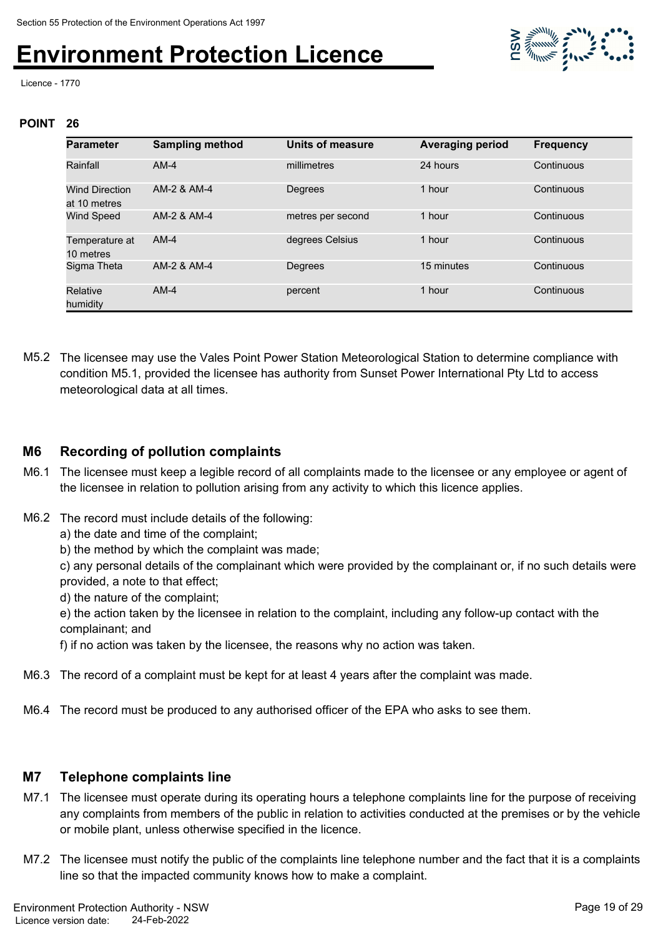

Licence - 1770

#### **POINT 26**

| <b>Parameter</b>                      | <b>Sampling method</b> | Units of measure  | <b>Averaging period</b> | <b>Frequency</b> |
|---------------------------------------|------------------------|-------------------|-------------------------|------------------|
| Rainfall                              | $AM-4$                 | millimetres       | 24 hours                | Continuous       |
| <b>Wind Direction</b><br>at 10 metres | AM-2 & AM-4            | Degrees           | 1 hour                  | Continuous       |
| <b>Wind Speed</b>                     | AM-2 & AM-4            | metres per second | 1 hour                  | Continuous       |
| Temperature at<br>10 metres           | $AM-4$                 | degrees Celsius   | 1 hour                  | Continuous       |
| Sigma Theta                           | AM-2 & AM-4            | <b>Degrees</b>    | 15 minutes              | Continuous       |
| Relative<br>humidity                  | $AM-4$                 | percent           | 1 hour                  | Continuous       |

M5.2 The licensee may use the Vales Point Power Station Meteorological Station to determine compliance with condition M5.1, provided the licensee has authority from Sunset Power International Pty Ltd to access meteorological data at all times.

#### **M6 Recording of pollution complaints**

- M6.1 The licensee must keep a legible record of all complaints made to the licensee or any employee or agent of the licensee in relation to pollution arising from any activity to which this licence applies.
- M6.2 The record must include details of the following:
	- a) the date and time of the complaint;
	- b) the method by which the complaint was made;

c) any personal details of the complainant which were provided by the complainant or, if no such details were provided, a note to that effect;

d) the nature of the complaint;

e) the action taken by the licensee in relation to the complaint, including any follow-up contact with the complainant; and

f) if no action was taken by the licensee, the reasons why no action was taken.

- M6.3 The record of a complaint must be kept for at least 4 years after the complaint was made.
- M6.4 The record must be produced to any authorised officer of the EPA who asks to see them.

#### **M7 Telephone complaints line**

- M7.1 The licensee must operate during its operating hours a telephone complaints line for the purpose of receiving any complaints from members of the public in relation to activities conducted at the premises or by the vehicle or mobile plant, unless otherwise specified in the licence.
- M7.2 The licensee must notify the public of the complaints line telephone number and the fact that it is a complaints line so that the impacted community knows how to make a complaint.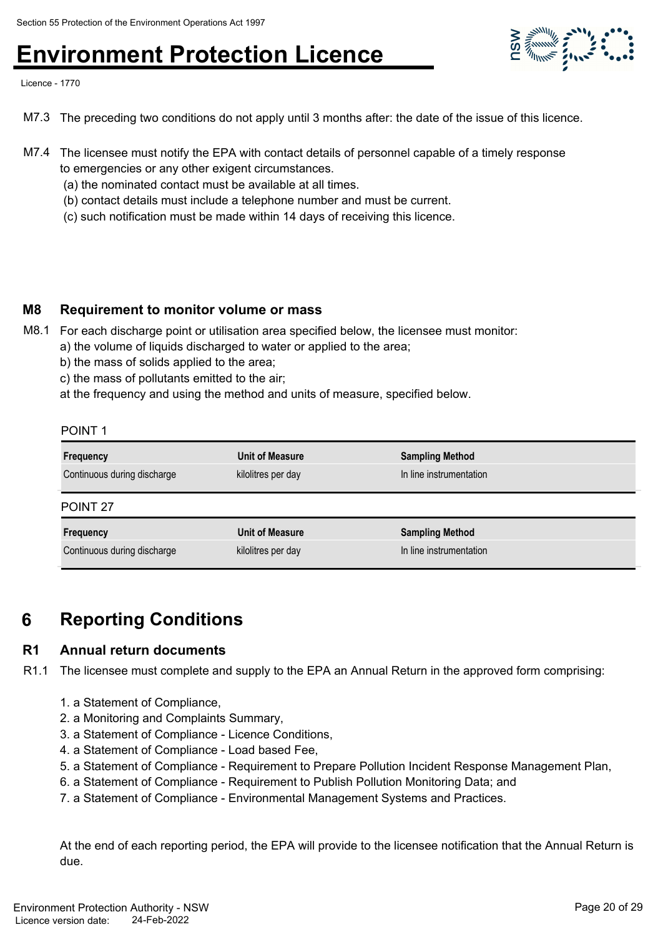Licence - 1770

- M7.3 The preceding two conditions do not apply until 3 months after: the date of the issue of this licence.
- M7.4 The licensee must notify the EPA with contact details of personnel capable of a timely response to emergencies or any other exigent circumstances.
	- (a) the nominated contact must be available at all times.
	- (b) contact details must include a telephone number and must be current.
	- (c) such notification must be made within 14 days of receiving this licence.

#### **M8 Requirement to monitor volume or mass**

- M8.1 For each discharge point or utilisation area specified below, the licensee must monitor:
	- a) the volume of liquids discharged to water or applied to the area;
		- b) the mass of solids applied to the area;
		- c) the mass of pollutants emitted to the air;
		- at the frequency and using the method and units of measure, specified below.

#### POINT 1

| Frequency                   | Unit of Measure    | <b>Sampling Method</b>  |
|-----------------------------|--------------------|-------------------------|
| Continuous during discharge | kilolitres per day | In line instrumentation |
| POINT <sub>27</sub>         |                    |                         |
| Frequency                   | Unit of Measure    | <b>Sampling Method</b>  |
| Continuous during discharge | kilolitres per day | In line instrumentation |

### **6 Reporting Conditions**

#### **R1 Annual return documents**

R1.1 The licensee must complete and supply to the EPA an Annual Return in the approved form comprising:

- 1. a Statement of Compliance,
- 2. a Monitoring and Complaints Summary,
- 3. a Statement of Compliance Licence Conditions,
- 4. a Statement of Compliance Load based Fee,
- 5. a Statement of Compliance Requirement to Prepare Pollution Incident Response Management Plan,
- 6. a Statement of Compliance Requirement to Publish Pollution Monitoring Data; and
- 7. a Statement of Compliance Environmental Management Systems and Practices.

At the end of each reporting period, the EPA will provide to the licensee notification that the Annual Return is due.

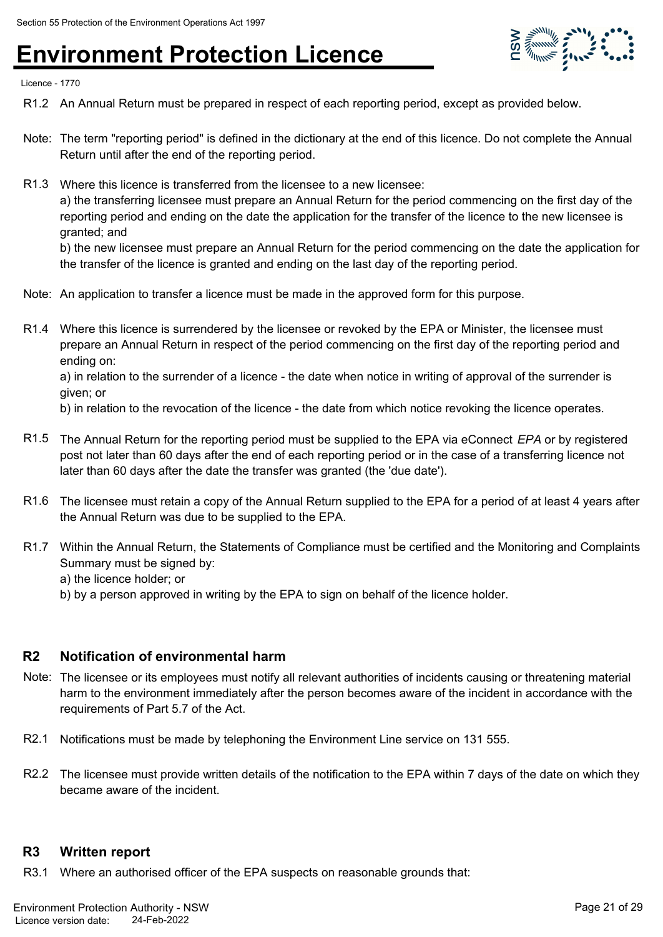

Licence - 1770

- R1.2 An Annual Return must be prepared in respect of each reporting period, except as provided below.
- Note: The term "reporting period" is defined in the dictionary at the end of this licence. Do not complete the Annual Return until after the end of the reporting period.
- R1.3 Where this licence is transferred from the licensee to a new licensee: a) the transferring licensee must prepare an Annual Return for the period commencing on the first day of the reporting period and ending on the date the application for the transfer of the licence to the new licensee is granted; and b) the new licensee must prepare an Annual Return for the period commencing on the date the application for

the transfer of the licence is granted and ending on the last day of the reporting period.

- Note: An application to transfer a licence must be made in the approved form for this purpose.
- R1.4 Where this licence is surrendered by the licensee or revoked by the EPA or Minister, the licensee must prepare an Annual Return in respect of the period commencing on the first day of the reporting period and ending on:

a) in relation to the surrender of a licence - the date when notice in writing of approval of the surrender is given; or

b) in relation to the revocation of the licence - the date from which notice revoking the licence operates.

- R1.5 The Annual Return for the reporting period must be supplied to the EPA via eConnect *EPA* or by registered post not later than 60 days after the end of each reporting period or in the case of a transferring licence not later than 60 days after the date the transfer was granted (the 'due date').
- R1.6 The licensee must retain a copy of the Annual Return supplied to the EPA for a period of at least 4 years after the Annual Return was due to be supplied to the EPA.
- R1.7 Within the Annual Return, the Statements of Compliance must be certified and the Monitoring and Complaints Summary must be signed by: a) the licence holder; or
	- b) by a person approved in writing by the EPA to sign on behalf of the licence holder.

#### **R2 Notification of environmental harm**

- Note: The licensee or its employees must notify all relevant authorities of incidents causing or threatening material harm to the environment immediately after the person becomes aware of the incident in accordance with the requirements of Part 5.7 of the Act.
- R2.1 Notifications must be made by telephoning the Environment Line service on 131 555.
- R2.2 The licensee must provide written details of the notification to the EPA within 7 days of the date on which they became aware of the incident.

#### **R3 Written report**

R3.1 Where an authorised officer of the EPA suspects on reasonable grounds that: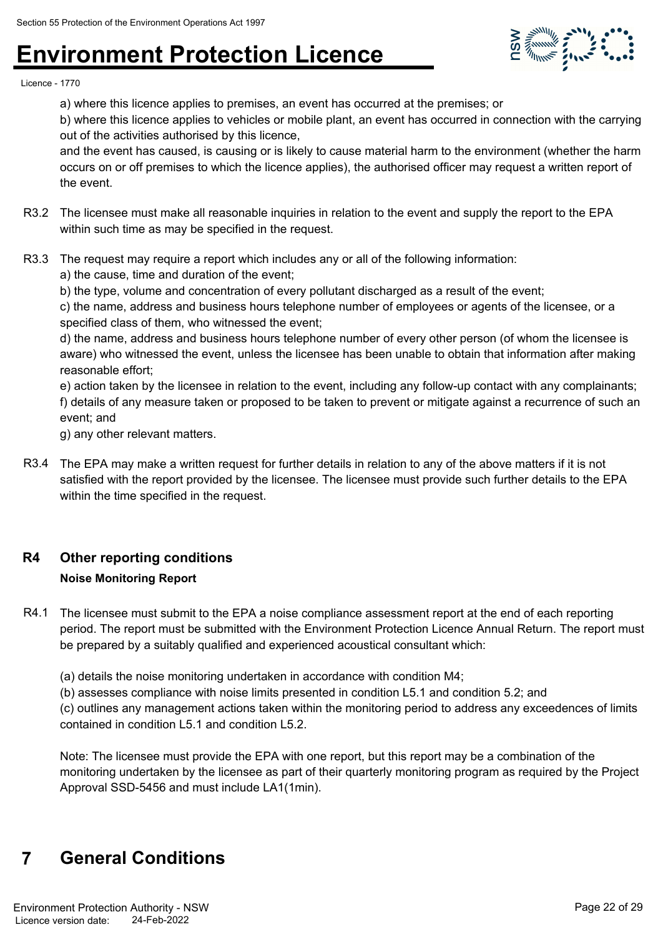

Licence - 1770

a) where this licence applies to premises, an event has occurred at the premises; or

b) where this licence applies to vehicles or mobile plant, an event has occurred in connection with the carrying out of the activities authorised by this licence,

and the event has caused, is causing or is likely to cause material harm to the environment (whether the harm occurs on or off premises to which the licence applies), the authorised officer may request a written report of the event.

- R3.2 The licensee must make all reasonable inquiries in relation to the event and supply the report to the EPA within such time as may be specified in the request.
- R3.3 The request may require a report which includes any or all of the following information:
	- a) the cause, time and duration of the event;

b) the type, volume and concentration of every pollutant discharged as a result of the event;

c) the name, address and business hours telephone number of employees or agents of the licensee, or a specified class of them, who witnessed the event;

d) the name, address and business hours telephone number of every other person (of whom the licensee is aware) who witnessed the event, unless the licensee has been unable to obtain that information after making reasonable effort;

e) action taken by the licensee in relation to the event, including any follow-up contact with any complainants; f) details of any measure taken or proposed to be taken to prevent or mitigate against a recurrence of such an event; and

g) any other relevant matters.

R3.4 The EPA may make a written request for further details in relation to any of the above matters if it is not satisfied with the report provided by the licensee. The licensee must provide such further details to the EPA within the time specified in the request.

#### **R4 Other reporting conditions**

#### **Noise Monitoring Report**

R4.1 The licensee must submit to the EPA a noise compliance assessment report at the end of each reporting period. The report must be submitted with the Environment Protection Licence Annual Return. The report must be prepared by a suitably qualified and experienced acoustical consultant which:

(a) details the noise monitoring undertaken in accordance with condition M4;

(b) assesses compliance with noise limits presented in condition L5.1 and condition 5.2; and

(c) outlines any management actions taken within the monitoring period to address any exceedences of limits contained in condition L5.1 and condition L5.2.

Note: The licensee must provide the EPA with one report, but this report may be a combination of the monitoring undertaken by the licensee as part of their quarterly monitoring program as required by the Project Approval SSD-5456 and must include LA1(1min).

### **7 General Conditions**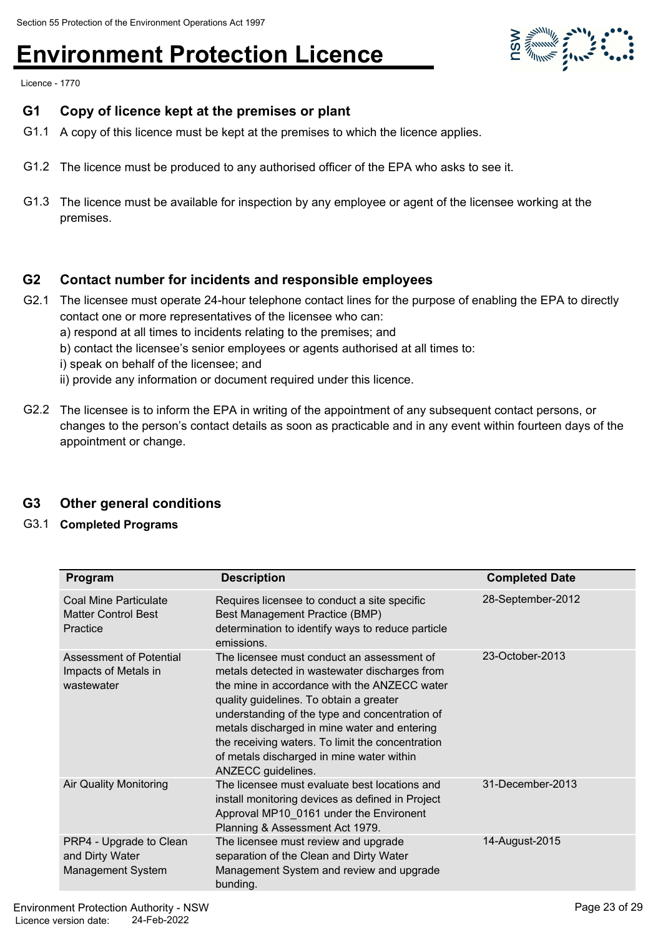$\sum_{i=1}^{n} \sum_{i=1}^{n} \sum_{j=1}^{n} \sum_{j=1}^{n} \sum_{j=1}^{n} \sum_{j=1}^{n} \sum_{j=1}^{n} \sum_{j=1}^{n} \sum_{j=1}^{n} \sum_{j=1}^{n} \sum_{j=1}^{n} \sum_{j=1}^{n} \sum_{j=1}^{n} \sum_{j=1}^{n} \sum_{j=1}^{n} \sum_{j=1}^{n} \sum_{j=1}^{n} \sum_{j=1}^{n} \sum_{j=1}^{n} \sum_{j=1}^{n} \sum_{j=1}^{n} \sum_{j=1}^{n}$ 

Licence - 1770

### **G1 Copy of licence kept at the premises or plant**

- G1.1 A copy of this licence must be kept at the premises to which the licence applies.
- G1.2 The licence must be produced to any authorised officer of the EPA who asks to see it.
- G1.3 The licence must be available for inspection by any employee or agent of the licensee working at the premises.

### **G2 Contact number for incidents and responsible employees**

- G2.1 The licensee must operate 24-hour telephone contact lines for the purpose of enabling the EPA to directly contact one or more representatives of the licensee who can:
	- a) respond at all times to incidents relating to the premises; and
	- b) contact the licensee's senior employees or agents authorised at all times to:
	- i) speak on behalf of the licensee; and
	- ii) provide any information or document required under this licence.
- G2.2 The licensee is to inform the EPA in writing of the appointment of any subsequent contact persons, or changes to the person's contact details as soon as practicable and in any event within fourteen days of the appointment or change.

### **G3 Other general conditions**

G3.1 **Completed Programs**

| Program                                                                | <b>Description</b>                                                                                                                                                                                                                                                                                                                                                                                              | <b>Completed Date</b> |
|------------------------------------------------------------------------|-----------------------------------------------------------------------------------------------------------------------------------------------------------------------------------------------------------------------------------------------------------------------------------------------------------------------------------------------------------------------------------------------------------------|-----------------------|
| Coal Mine Particulate<br><b>Matter Control Best</b><br>Practice        | Requires licensee to conduct a site specific<br>Best Management Practice (BMP)<br>determination to identify ways to reduce particle<br>emissions.                                                                                                                                                                                                                                                               | 28-September-2012     |
| Assessment of Potential<br>Impacts of Metals in<br>wastewater          | The licensee must conduct an assessment of<br>metals detected in wastewater discharges from<br>the mine in accordance with the ANZECC water<br>quality guidelines. To obtain a greater<br>understanding of the type and concentration of<br>metals discharged in mine water and entering<br>the receiving waters. To limit the concentration<br>of metals discharged in mine water within<br>ANZECC guidelines. | 23-October-2013       |
| <b>Air Quality Monitoring</b>                                          | The licensee must evaluate best locations and<br>install monitoring devices as defined in Project<br>Approval MP10_0161 under the Environent<br>Planning & Assessment Act 1979.                                                                                                                                                                                                                                 | 31-December-2013      |
| PRP4 - Upgrade to Clean<br>and Dirty Water<br><b>Management System</b> | The licensee must review and upgrade<br>separation of the Clean and Dirty Water<br>Management System and review and upgrade<br>bunding.                                                                                                                                                                                                                                                                         | 14-August-2015        |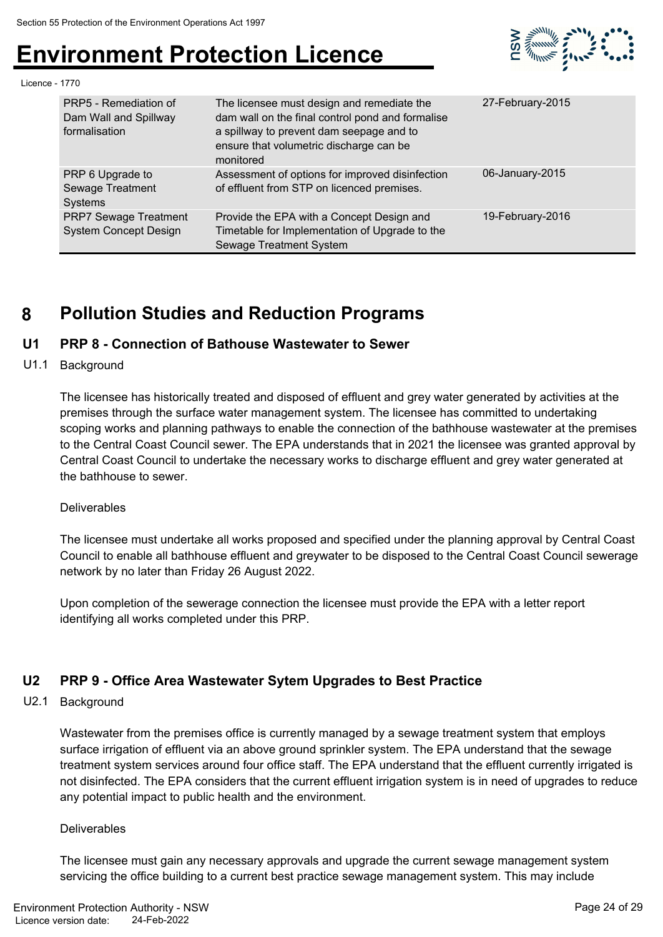

Licence - 1770

| PRP5 - Remediation of<br>Dam Wall and Spillway<br>formalisation | The licensee must design and remediate the<br>dam wall on the final control pond and formalise<br>a spillway to prevent dam seepage and to<br>ensure that volumetric discharge can be<br>monitored | 27-February-2015 |
|-----------------------------------------------------------------|----------------------------------------------------------------------------------------------------------------------------------------------------------------------------------------------------|------------------|
| PRP 6 Upgrade to<br>Sewage Treatment<br>Systems                 | Assessment of options for improved disinfection<br>of effluent from STP on licenced premises.                                                                                                      | 06-January-2015  |
| <b>PRP7 Sewage Treatment</b><br><b>System Concept Design</b>    | Provide the EPA with a Concept Design and<br>Timetable for Implementation of Upgrade to the<br><b>Sewage Treatment System</b>                                                                      | 19-February-2016 |

### **8 Pollution Studies and Reduction Programs**

#### **U1 PRP 8 - Connection of Bathouse Wastewater to Sewer**

U1.1 Background

The licensee has historically treated and disposed of effluent and grey water generated by activities at the premises through the surface water management system. The licensee has committed to undertaking scoping works and planning pathways to enable the connection of the bathhouse wastewater at the premises to the Central Coast Council sewer. The EPA understands that in 2021 the licensee was granted approval by Central Coast Council to undertake the necessary works to discharge effluent and grey water generated at the bathhouse to sewer.

#### Deliverables

The licensee must undertake all works proposed and specified under the planning approval by Central Coast Council to enable all bathhouse effluent and greywater to be disposed to the Central Coast Council sewerage network by no later than Friday 26 August 2022.

Upon completion of the sewerage connection the licensee must provide the EPA with a letter report identifying all works completed under this PRP.

#### **U2 PRP 9 - Office Area Wastewater Sytem Upgrades to Best Practice**

U2.1 Background

Wastewater from the premises office is currently managed by a sewage treatment system that employs surface irrigation of effluent via an above ground sprinkler system. The EPA understand that the sewage treatment system services around four office staff. The EPA understand that the effluent currently irrigated is not disinfected. The EPA considers that the current effluent irrigation system is in need of upgrades to reduce any potential impact to public health and the environment.

#### **Deliverables**

The licensee must gain any necessary approvals and upgrade the current sewage management system servicing the office building to a current best practice sewage management system. This may include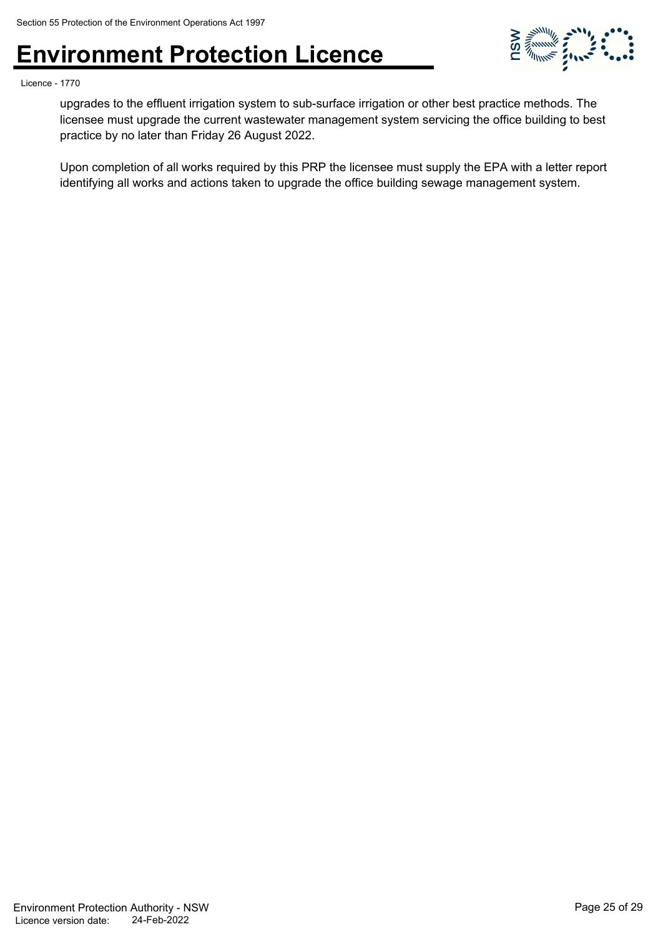

Licence - 1770

upgrades to the effluent irrigation system to sub-surface irrigation or other best practice methods. The licensee must upgrade the current wastewater management system servicing the office building to best practice by no later than Friday 26 August 2022.

Upon completion of all works required by this PRP the licensee must supply the EPA with a letter report identifying all works and actions taken to upgrade the office building sewage management system.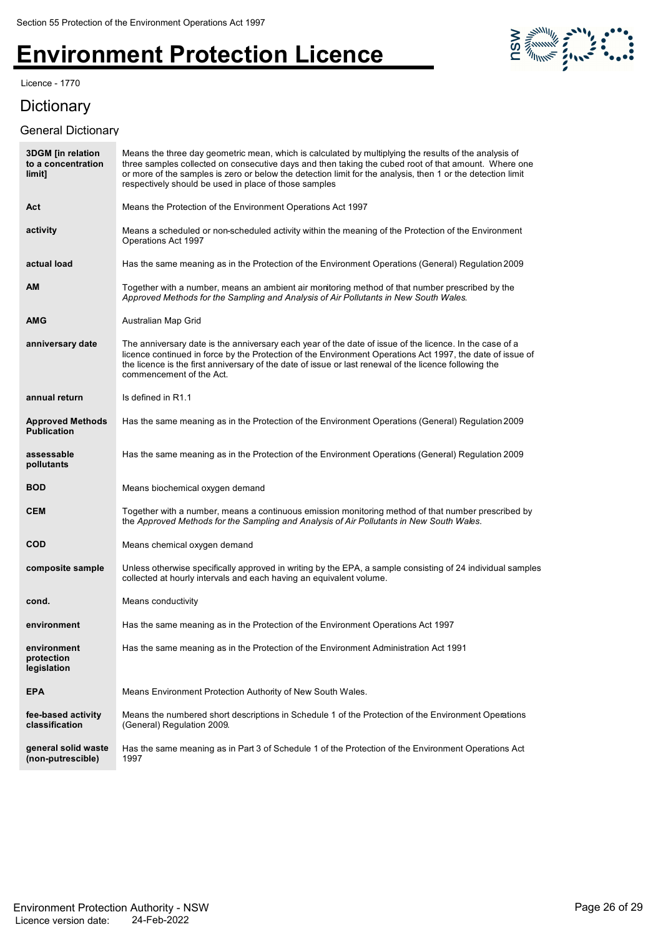Licence - 1770

### **Dictionary**

#### General Dictionary



| <b>3DGM</b> [in relation<br>to a concentration<br>limit] | Means the three day geometric mean, which is calculated by multiplying the results of the analysis of<br>three samples collected on consecutive days and then taking the cubed root of that amount. Where one<br>or more of the samples is zero or below the detection limit for the analysis, then 1 or the detection limit<br>respectively should be used in place of those samples |
|----------------------------------------------------------|---------------------------------------------------------------------------------------------------------------------------------------------------------------------------------------------------------------------------------------------------------------------------------------------------------------------------------------------------------------------------------------|
| Act                                                      | Means the Protection of the Environment Operations Act 1997                                                                                                                                                                                                                                                                                                                           |
| activity                                                 | Means a scheduled or non-scheduled activity within the meaning of the Protection of the Environment<br>Operations Act 1997                                                                                                                                                                                                                                                            |
| actual load                                              | Has the same meaning as in the Protection of the Environment Operations (General) Regulation 2009                                                                                                                                                                                                                                                                                     |
| ΑM                                                       | Together with a number, means an ambient air monitoring method of that number prescribed by the<br>Approved Methods for the Sampling and Analysis of Air Pollutants in New South Wales.                                                                                                                                                                                               |
| AMG                                                      | Australian Map Grid                                                                                                                                                                                                                                                                                                                                                                   |
| anniversary date                                         | The anniversary date is the anniversary each year of the date of issue of the licence. In the case of a<br>licence continued in force by the Protection of the Environment Operations Act 1997, the date of issue of<br>the licence is the first anniversary of the date of issue or last renewal of the licence following the<br>commencement of the Act.                            |
| annual return                                            | Is defined in R1.1                                                                                                                                                                                                                                                                                                                                                                    |
| <b>Approved Methods</b><br><b>Publication</b>            | Has the same meaning as in the Protection of the Environment Operations (General) Regulation 2009                                                                                                                                                                                                                                                                                     |
| assessable<br>pollutants                                 | Has the same meaning as in the Protection of the Environment Operations (General) Regulation 2009                                                                                                                                                                                                                                                                                     |
| <b>BOD</b>                                               | Means biochemical oxygen demand                                                                                                                                                                                                                                                                                                                                                       |
| <b>CEM</b>                                               | Together with a number, means a continuous emission monitoring method of that number prescribed by<br>the Approved Methods for the Sampling and Analysis of Air Pollutants in New South Wales.                                                                                                                                                                                        |
| <b>COD</b>                                               | Means chemical oxygen demand                                                                                                                                                                                                                                                                                                                                                          |
| composite sample                                         | Unless otherwise specifically approved in writing by the EPA, a sample consisting of 24 individual samples<br>collected at hourly intervals and each having an equivalent volume.                                                                                                                                                                                                     |
| cond.                                                    | Means conductivity                                                                                                                                                                                                                                                                                                                                                                    |
| environment                                              | Has the same meaning as in the Protection of the Environment Operations Act 1997                                                                                                                                                                                                                                                                                                      |
| environment<br>protection<br>legislation                 | Has the same meaning as in the Protection of the Environment Administration Act 1991                                                                                                                                                                                                                                                                                                  |
| <b>EPA</b>                                               | Means Environment Protection Authority of New South Wales.                                                                                                                                                                                                                                                                                                                            |
| fee-based activity<br>classification                     | Means the numbered short descriptions in Schedule 1 of the Protection of the Environment Operations<br>(General) Regulation 2009.                                                                                                                                                                                                                                                     |
| general solid waste<br>(non-putrescible)                 | Has the same meaning as in Part 3 of Schedule 1 of the Protection of the Environment Operations Act<br>1997                                                                                                                                                                                                                                                                           |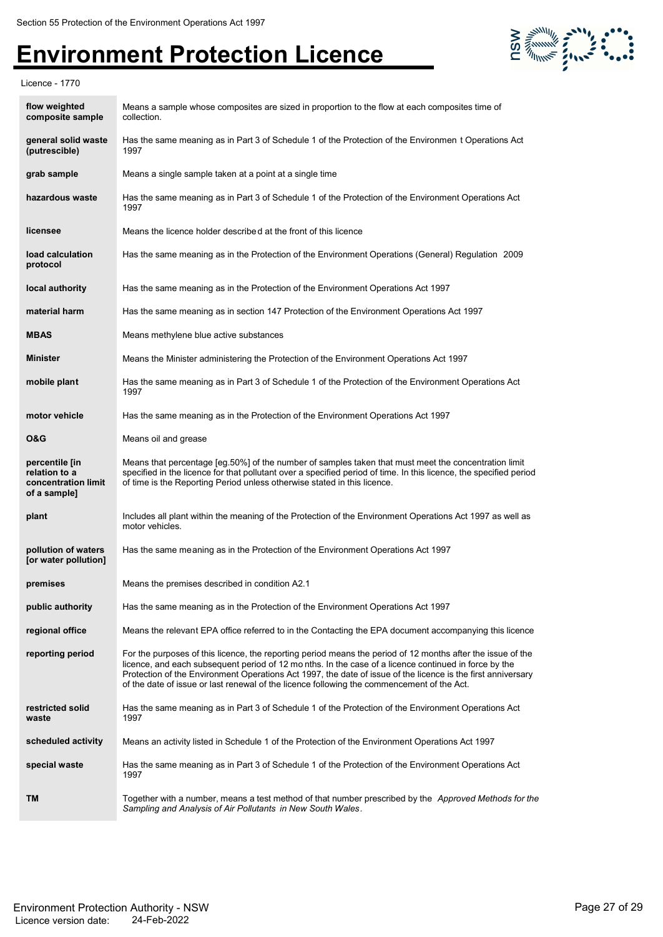

Licence - 1770

| flow weighted<br>composite sample                                      | Means a sample whose composites are sized in proportion to the flow at each composites time of<br>collection.                                                                                                                                                                                                                                                                                                                     |
|------------------------------------------------------------------------|-----------------------------------------------------------------------------------------------------------------------------------------------------------------------------------------------------------------------------------------------------------------------------------------------------------------------------------------------------------------------------------------------------------------------------------|
| general solid waste<br>(putrescible)                                   | Has the same meaning as in Part 3 of Schedule 1 of the Protection of the Environmen t Operations Act<br>1997                                                                                                                                                                                                                                                                                                                      |
| grab sample                                                            | Means a single sample taken at a point at a single time                                                                                                                                                                                                                                                                                                                                                                           |
| hazardous waste                                                        | Has the same meaning as in Part 3 of Schedule 1 of the Protection of the Environment Operations Act<br>1997                                                                                                                                                                                                                                                                                                                       |
| licensee                                                               | Means the licence holder described at the front of this licence                                                                                                                                                                                                                                                                                                                                                                   |
| load calculation<br>protocol                                           | Has the same meaning as in the Protection of the Environment Operations (General) Regulation 2009                                                                                                                                                                                                                                                                                                                                 |
| local authority                                                        | Has the same meaning as in the Protection of the Environment Operations Act 1997                                                                                                                                                                                                                                                                                                                                                  |
| material harm                                                          | Has the same meaning as in section 147 Protection of the Environment Operations Act 1997                                                                                                                                                                                                                                                                                                                                          |
| <b>MBAS</b>                                                            | Means methylene blue active substances                                                                                                                                                                                                                                                                                                                                                                                            |
| <b>Minister</b>                                                        | Means the Minister administering the Protection of the Environment Operations Act 1997                                                                                                                                                                                                                                                                                                                                            |
| mobile plant                                                           | Has the same meaning as in Part 3 of Schedule 1 of the Protection of the Environment Operations Act<br>1997                                                                                                                                                                                                                                                                                                                       |
| motor vehicle                                                          | Has the same meaning as in the Protection of the Environment Operations Act 1997                                                                                                                                                                                                                                                                                                                                                  |
| <b>O&amp;G</b>                                                         | Means oil and grease                                                                                                                                                                                                                                                                                                                                                                                                              |
| percentile [in<br>relation to a<br>concentration limit<br>of a sample] | Means that percentage [eg.50%] of the number of samples taken that must meet the concentration limit<br>specified in the licence for that pollutant over a specified period of time. In this licence, the specified period<br>of time is the Reporting Period unless otherwise stated in this licence.                                                                                                                            |
| plant                                                                  | Includes all plant within the meaning of the Protection of the Environment Operations Act 1997 as well as<br>motor vehicles.                                                                                                                                                                                                                                                                                                      |
| pollution of waters<br>[or water pollution]                            | Has the same meaning as in the Protection of the Environment Operations Act 1997                                                                                                                                                                                                                                                                                                                                                  |
| premises                                                               | Means the premises described in condition A2.1                                                                                                                                                                                                                                                                                                                                                                                    |
| public authority                                                       | Has the same meaning as in the Protection of the Environment Operations Act 1997                                                                                                                                                                                                                                                                                                                                                  |
| regional office                                                        | Means the relevant EPA office referred to in the Contacting the EPA document accompanying this licence                                                                                                                                                                                                                                                                                                                            |
| reporting period                                                       | For the purposes of this licence, the reporting period means the period of 12 months after the issue of the<br>licence, and each subsequent period of 12 months. In the case of a licence continued in force by the<br>Protection of the Environment Operations Act 1997, the date of issue of the licence is the first anniversary<br>of the date of issue or last renewal of the licence following the commencement of the Act. |
| restricted solid<br>waste                                              | Has the same meaning as in Part 3 of Schedule 1 of the Protection of the Environment Operations Act<br>1997                                                                                                                                                                                                                                                                                                                       |
| scheduled activity                                                     | Means an activity listed in Schedule 1 of the Protection of the Environment Operations Act 1997                                                                                                                                                                                                                                                                                                                                   |
| special waste                                                          | Has the same meaning as in Part 3 of Schedule 1 of the Protection of the Environment Operations Act<br>1997                                                                                                                                                                                                                                                                                                                       |
| TM                                                                     | Together with a number, means a test method of that number prescribed by the <i>Approved Methods for the</i><br>Sampling and Analysis of Air Pollutants in New South Wales.                                                                                                                                                                                                                                                       |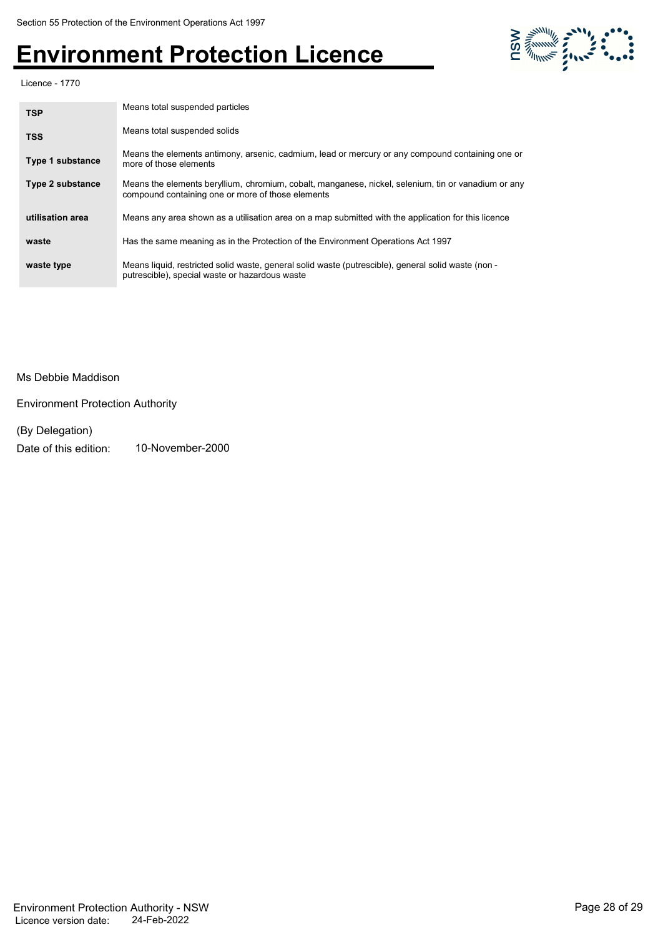

Licence - 1770

| <b>TSP</b>              | Means total suspended particles                                                                                                                          |
|-------------------------|----------------------------------------------------------------------------------------------------------------------------------------------------------|
| <b>TSS</b>              | Means total suspended solids                                                                                                                             |
| Type 1 substance        | Means the elements antimony, arsenic, cadmium, lead or mercury or any compound containing one or<br>more of those elements                               |
| <b>Type 2 substance</b> | Means the elements beryllium, chromium, cobalt, manganese, nickel, selenium, tin or vanadium or any<br>compound containing one or more of those elements |
| utilisation area        | Means any area shown as a utilisation area on a map submitted with the application for this licence                                                      |
| waste                   | Has the same meaning as in the Protection of the Environment Operations Act 1997                                                                         |
| waste type              | Means liquid, restricted solid waste, general solid waste (putrescible), general solid waste (non -<br>putrescible), special waste or hazardous waste    |

#### Ms Debbie Maddison

Environment Protection Authority

### (By Delegation)

Date of this edition: 10-November-2000